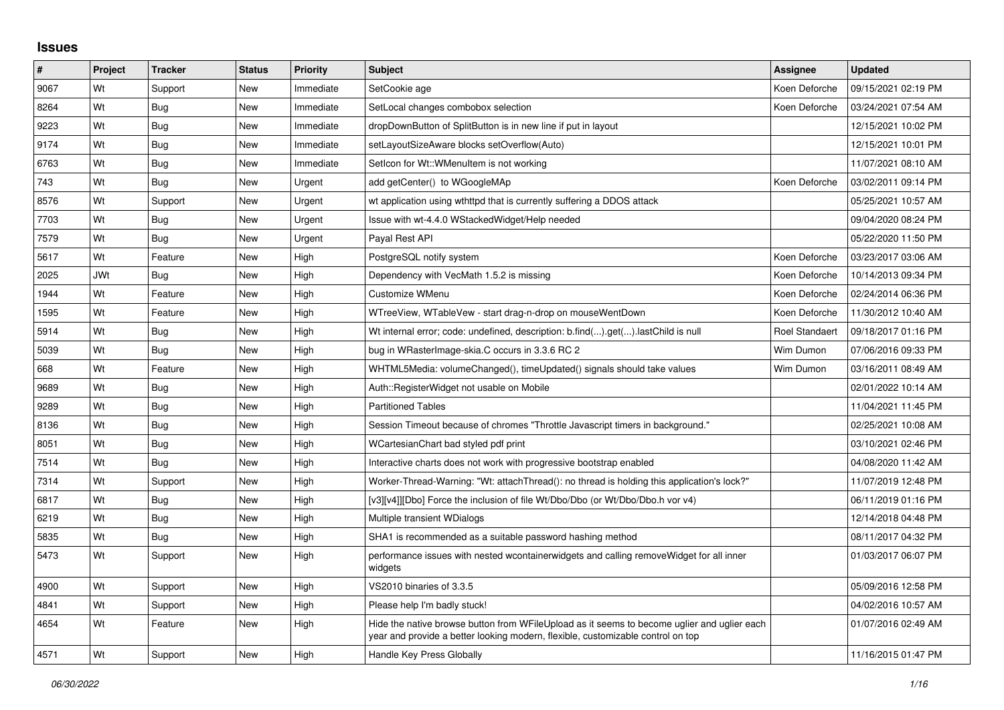## **Issues**

| #    | Project | <b>Tracker</b> | <b>Status</b> | Priority  | <b>Subject</b>                                                                                                                                                                 | <b>Assignee</b>       | <b>Updated</b>      |
|------|---------|----------------|---------------|-----------|--------------------------------------------------------------------------------------------------------------------------------------------------------------------------------|-----------------------|---------------------|
| 9067 | Wt      | Support        | <b>New</b>    | Immediate | SetCookie age                                                                                                                                                                  | Koen Deforche         | 09/15/2021 02:19 PM |
| 8264 | Wt      | Bug            | <b>New</b>    | Immediate | SetLocal changes combobox selection                                                                                                                                            | Koen Deforche         | 03/24/2021 07:54 AM |
| 9223 | Wt      | Bug            | <b>New</b>    | Immediate | dropDownButton of SplitButton is in new line if put in layout                                                                                                                  |                       | 12/15/2021 10:02 PM |
| 9174 | Wt      | Bug            | <b>New</b>    | Immediate | setLayoutSizeAware blocks setOverflow(Auto)                                                                                                                                    |                       | 12/15/2021 10:01 PM |
| 6763 | Wt      | Bug            | <b>New</b>    | Immediate | Seticon for Wt:: WMenuitem is not working                                                                                                                                      |                       | 11/07/2021 08:10 AM |
| 743  | Wt      | <b>Bug</b>     | <b>New</b>    | Urgent    | add getCenter() to WGoogleMAp                                                                                                                                                  | Koen Deforche         | 03/02/2011 09:14 PM |
| 8576 | Wt      | Support        | <b>New</b>    | Urgent    | wt application using wthttpd that is currently suffering a DDOS attack                                                                                                         |                       | 05/25/2021 10:57 AM |
| 7703 | Wt      | Bug            | New           | Urgent    | Issue with wt-4.4.0 WStackedWidget/Help needed                                                                                                                                 |                       | 09/04/2020 08:24 PM |
| 7579 | Wt      | <b>Bug</b>     | New           | Urgent    | Payal Rest API                                                                                                                                                                 |                       | 05/22/2020 11:50 PM |
| 5617 | Wt      | Feature        | <b>New</b>    | High      | PostgreSQL notify system                                                                                                                                                       | Koen Deforche         | 03/23/2017 03:06 AM |
| 2025 | JWt     | Bug            | <b>New</b>    | High      | Dependency with VecMath 1.5.2 is missing                                                                                                                                       | Koen Deforche         | 10/14/2013 09:34 PM |
| 1944 | Wt      | Feature        | New           | High      | Customize WMenu                                                                                                                                                                | Koen Deforche         | 02/24/2014 06:36 PM |
| 1595 | Wt      | Feature        | <b>New</b>    | High      | WTreeView, WTableVew - start drag-n-drop on mouseWentDown                                                                                                                      | Koen Deforche         | 11/30/2012 10:40 AM |
| 5914 | Wt      | Bug            | <b>New</b>    | High      | Wt internal error; code: undefined, description: b.find().get().lastChild is null                                                                                              | <b>Roel Standaert</b> | 09/18/2017 01:16 PM |
| 5039 | Wt      | <b>Bug</b>     | New           | High      | bug in WRasterImage-skia.C occurs in 3.3.6 RC 2                                                                                                                                | Wim Dumon             | 07/06/2016 09:33 PM |
| 668  | Wt      | Feature        | <b>New</b>    | High      | WHTML5Media: volumeChanged(), timeUpdated() signals should take values                                                                                                         | Wim Dumon             | 03/16/2011 08:49 AM |
| 9689 | Wt      | <b>Bug</b>     | <b>New</b>    | High      | Auth::RegisterWidget not usable on Mobile                                                                                                                                      |                       | 02/01/2022 10:14 AM |
| 9289 | Wt      | <b>Bug</b>     | New           | High      | <b>Partitioned Tables</b>                                                                                                                                                      |                       | 11/04/2021 11:45 PM |
| 8136 | Wt      | <b>Bug</b>     | <b>New</b>    | High      | Session Timeout because of chromes "Throttle Javascript timers in background."                                                                                                 |                       | 02/25/2021 10:08 AM |
| 8051 | Wt      | Bug            | <b>New</b>    | High      | WCartesianChart bad styled pdf print                                                                                                                                           |                       | 03/10/2021 02:46 PM |
| 7514 | Wt      | <b>Bug</b>     | New           | High      | Interactive charts does not work with progressive bootstrap enabled                                                                                                            |                       | 04/08/2020 11:42 AM |
| 7314 | Wt      | Support        | <b>New</b>    | High      | Worker-Thread-Warning: "Wt: attach Thread(): no thread is holding this application's lock?"                                                                                    |                       | 11/07/2019 12:48 PM |
| 6817 | Wt      | Bug            | <b>New</b>    | High      | [v3][v4]][Dbo] Force the inclusion of file Wt/Dbo/Dbo (or Wt/Dbo/Dbo.h vor v4)                                                                                                 |                       | 06/11/2019 01:16 PM |
| 6219 | Wt      | Bug            | New           | High      | Multiple transient WDialogs                                                                                                                                                    |                       | 12/14/2018 04:48 PM |
| 5835 | Wt      | <b>Bug</b>     | <b>New</b>    | High      | SHA1 is recommended as a suitable password hashing method                                                                                                                      |                       | 08/11/2017 04:32 PM |
| 5473 | Wt      | Support        | <b>New</b>    | High      | performance issues with nested wcontainerwidgets and calling remove Widget for all inner<br>widgets                                                                            |                       | 01/03/2017 06:07 PM |
| 4900 | Wt      | Support        | New           | High      | VS2010 binaries of 3.3.5                                                                                                                                                       |                       | 05/09/2016 12:58 PM |
| 4841 | Wt      | Support        | <b>New</b>    | High      | Please help I'm badly stuck!                                                                                                                                                   |                       | 04/02/2016 10:57 AM |
| 4654 | Wt      | Feature        | New           | High      | Hide the native browse button from WFileUpload as it seems to become uglier and uglier each<br>year and provide a better looking modern, flexible, customizable control on top |                       | 01/07/2016 02:49 AM |
| 4571 | Wt      | Support        | New           | High      | Handle Key Press Globally                                                                                                                                                      |                       | 11/16/2015 01:47 PM |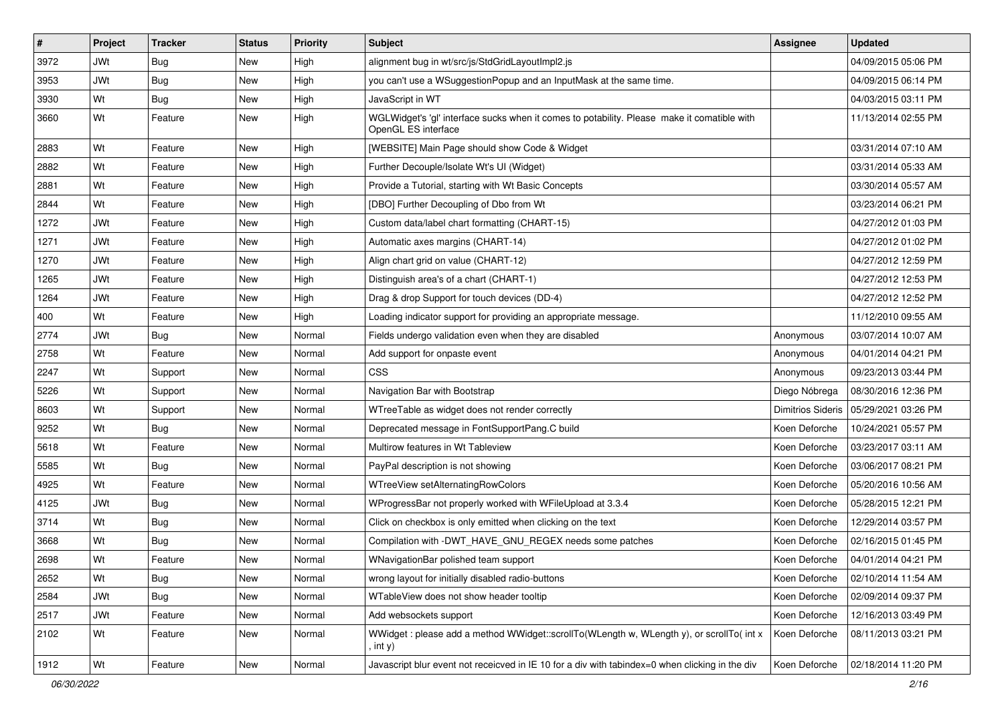| $\vert$ # | Project    | <b>Tracker</b> | <b>Status</b> | <b>Priority</b> | <b>Subject</b>                                                                                                     | <b>Assignee</b>          | <b>Updated</b>      |
|-----------|------------|----------------|---------------|-----------------|--------------------------------------------------------------------------------------------------------------------|--------------------------|---------------------|
| 3972      | <b>JWt</b> | Bug            | <b>New</b>    | High            | alignment bug in wt/src/js/StdGridLayoutImpl2.js                                                                   |                          | 04/09/2015 05:06 PM |
| 3953      | <b>JWt</b> | <b>Bug</b>     | <b>New</b>    | High            | you can't use a WSuggestionPopup and an InputMask at the same time.                                                |                          | 04/09/2015 06:14 PM |
| 3930      | Wt         | <b>Bug</b>     | <b>New</b>    | High            | JavaScript in WT                                                                                                   |                          | 04/03/2015 03:11 PM |
| 3660      | Wt         | Feature        | New           | High            | WGLWidget's 'gl' interface sucks when it comes to potability. Please make it comatible with<br>OpenGL ES interface |                          | 11/13/2014 02:55 PM |
| 2883      | Wt         | Feature        | <b>New</b>    | High            | [WEBSITE] Main Page should show Code & Widget                                                                      |                          | 03/31/2014 07:10 AM |
| 2882      | Wt         | Feature        | <b>New</b>    | High            | Further Decouple/Isolate Wt's UI (Widget)                                                                          |                          | 03/31/2014 05:33 AM |
| 2881      | Wt         | Feature        | <b>New</b>    | High            | Provide a Tutorial, starting with Wt Basic Concepts                                                                |                          | 03/30/2014 05:57 AM |
| 2844      | Wt         | Feature        | <b>New</b>    | High            | [DBO] Further Decoupling of Dbo from Wt                                                                            |                          | 03/23/2014 06:21 PM |
| 1272      | <b>JWt</b> | Feature        | <b>New</b>    | High            | Custom data/label chart formatting (CHART-15)                                                                      |                          | 04/27/2012 01:03 PM |
| 1271      | <b>JWt</b> | Feature        | <b>New</b>    | High            | Automatic axes margins (CHART-14)                                                                                  |                          | 04/27/2012 01:02 PM |
| 1270      | <b>JWt</b> | Feature        | <b>New</b>    | High            | Align chart grid on value (CHART-12)                                                                               |                          | 04/27/2012 12:59 PM |
| 1265      | <b>JWt</b> | Feature        | <b>New</b>    | High            | Distinguish area's of a chart (CHART-1)                                                                            |                          | 04/27/2012 12:53 PM |
| 1264      | <b>JWt</b> | Feature        | <b>New</b>    | High            | Drag & drop Support for touch devices (DD-4)                                                                       |                          | 04/27/2012 12:52 PM |
| 400       | Wt         | Feature        | <b>New</b>    | High            | Loading indicator support for providing an appropriate message.                                                    |                          | 11/12/2010 09:55 AM |
| 2774      | <b>JWt</b> | <b>Bug</b>     | <b>New</b>    | Normal          | Fields undergo validation even when they are disabled                                                              | Anonymous                | 03/07/2014 10:07 AM |
| 2758      | Wt         | Feature        | <b>New</b>    | Normal          | Add support for onpaste event                                                                                      | Anonymous                | 04/01/2014 04:21 PM |
| 2247      | Wt         | Support        | <b>New</b>    | Normal          | <b>CSS</b>                                                                                                         | Anonymous                | 09/23/2013 03:44 PM |
| 5226      | Wt         | Support        | <b>New</b>    | Normal          | Navigation Bar with Bootstrap                                                                                      | Diego Nóbrega            | 08/30/2016 12:36 PM |
| 8603      | Wt         | Support        | <b>New</b>    | Normal          | WTreeTable as widget does not render correctly                                                                     | <b>Dimitrios Sideris</b> | 05/29/2021 03:26 PM |
| 9252      | Wt         | Bug            | <b>New</b>    | Normal          | Deprecated message in FontSupportPang.C build                                                                      | Koen Deforche            | 10/24/2021 05:57 PM |
| 5618      | Wt         | Feature        | <b>New</b>    | Normal          | Multirow features in Wt Tableview                                                                                  | Koen Deforche            | 03/23/2017 03:11 AM |
| 5585      | Wt         | <b>Bug</b>     | <b>New</b>    | Normal          | PayPal description is not showing                                                                                  | Koen Deforche            | 03/06/2017 08:21 PM |
| 4925      | Wt         | Feature        | New           | Normal          | WTreeView setAlternatingRowColors                                                                                  | Koen Deforche            | 05/20/2016 10:56 AM |
| 4125      | <b>JWt</b> | <b>Bug</b>     | New           | Normal          | WProgressBar not properly worked with WFileUpload at 3.3.4                                                         | Koen Deforche            | 05/28/2015 12:21 PM |
| 3714      | Wt         | <b>Bug</b>     | <b>New</b>    | Normal          | Click on checkbox is only emitted when clicking on the text                                                        | Koen Deforche            | 12/29/2014 03:57 PM |
| 3668      | Wt         | <b>Bug</b>     | New           | Normal          | Compilation with -DWT HAVE GNU REGEX needs some patches                                                            | Koen Deforche            | 02/16/2015 01:45 PM |
| 2698      | Wt         | Feature        | New           | Normal          | WNavigationBar polished team support                                                                               | Koen Deforche            | 04/01/2014 04:21 PM |
| 2652      | Wt         | <b>Bug</b>     | New           | Normal          | wrong layout for initially disabled radio-buttons                                                                  | Koen Deforche            | 02/10/2014 11:54 AM |
| 2584      | <b>JWt</b> | <b>Bug</b>     | <b>New</b>    | Normal          | WTableView does not show header tooltip                                                                            | Koen Deforche            | 02/09/2014 09:37 PM |
| 2517      | <b>JWt</b> | Feature        | New           | Normal          | Add websockets support                                                                                             | Koen Deforche            | 12/16/2013 03:49 PM |
| 2102      | Wt         | Feature        | New           | Normal          | WWidget: please add a method WWidget::scrollTo(WLength w, WLength y), or scrollTo(int x<br>, int y).               | Koen Deforche            | 08/11/2013 03:21 PM |
| 1912      | Wt         | Feature        | New           | Normal          | Javascript blur event not receicved in IE 10 for a div with tabindex=0 when clicking in the div                    | Koen Deforche            | 02/18/2014 11:20 PM |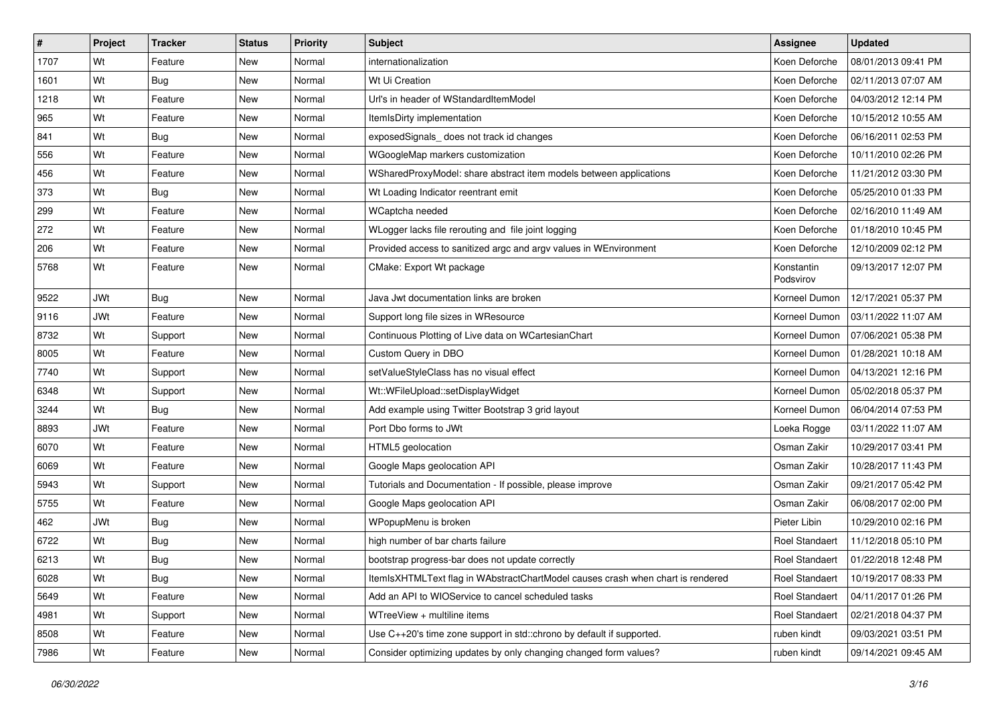| $\vert$ # | Project    | <b>Tracker</b> | <b>Status</b> | <b>Priority</b> | <b>Subject</b>                                                                  | Assignee                | <b>Updated</b>      |
|-----------|------------|----------------|---------------|-----------------|---------------------------------------------------------------------------------|-------------------------|---------------------|
| 1707      | Wt         | Feature        | <b>New</b>    | Normal          | internationalization                                                            | Koen Deforche           | 08/01/2013 09:41 PM |
| 1601      | Wt         | <b>Bug</b>     | <b>New</b>    | Normal          | Wt Ui Creation                                                                  | Koen Deforche           | 02/11/2013 07:07 AM |
| 1218      | Wt         | Feature        | <b>New</b>    | Normal          | Url's in header of WStandardItemModel                                           | Koen Deforche           | 04/03/2012 12:14 PM |
| 965       | Wt         | Feature        | <b>New</b>    | Normal          | ItemIsDirty implementation                                                      | Koen Deforche           | 10/15/2012 10:55 AM |
| 841       | Wt         | <b>Bug</b>     | <b>New</b>    | Normal          | exposedSignals_ does not track id changes                                       | Koen Deforche           | 06/16/2011 02:53 PM |
| 556       | Wt         | Feature        | <b>New</b>    | Normal          | WGoogleMap markers customization                                                | Koen Deforche           | 10/11/2010 02:26 PM |
| 456       | Wt         | Feature        | <b>New</b>    | Normal          | WSharedProxyModel: share abstract item models between applications              | Koen Deforche           | 11/21/2012 03:30 PM |
| 373       | Wt         | <b>Bug</b>     | <b>New</b>    | Normal          | Wt Loading Indicator reentrant emit                                             | Koen Deforche           | 05/25/2010 01:33 PM |
| 299       | Wt         | Feature        | <b>New</b>    | Normal          | WCaptcha needed                                                                 | Koen Deforche           | 02/16/2010 11:49 AM |
| 272       | Wt         | Feature        | <b>New</b>    | Normal          | WLogger lacks file rerouting and file joint logging                             | Koen Deforche           | 01/18/2010 10:45 PM |
| 206       | Wt         | Feature        | <b>New</b>    | Normal          | Provided access to sanitized argc and argv values in WEnvironment               | Koen Deforche           | 12/10/2009 02:12 PM |
| 5768      | Wt         | Feature        | <b>New</b>    | Normal          | CMake: Export Wt package                                                        | Konstantin<br>Podsvirov | 09/13/2017 12:07 PM |
| 9522      | <b>JWt</b> | <b>Bug</b>     | <b>New</b>    | Normal          | Java Jwt documentation links are broken                                         | Korneel Dumon           | 12/17/2021 05:37 PM |
| 9116      | <b>JWt</b> | Feature        | <b>New</b>    | Normal          | Support long file sizes in WResource                                            | Korneel Dumon           | 03/11/2022 11:07 AM |
| 8732      | Wt         | Support        | <b>New</b>    | Normal          | Continuous Plotting of Live data on WCartesianChart                             | Korneel Dumon           | 07/06/2021 05:38 PM |
| 8005      | Wt         | Feature        | <b>New</b>    | Normal          | Custom Query in DBO                                                             | Korneel Dumon           | 01/28/2021 10:18 AM |
| 7740      | Wt         | Support        | <b>New</b>    | Normal          | setValueStyleClass has no visual effect                                         | Korneel Dumon           | 04/13/2021 12:16 PM |
| 6348      | Wt         | Support        | <b>New</b>    | Normal          | Wt::WFileUpload::setDisplayWidget                                               | Korneel Dumon           | 05/02/2018 05:37 PM |
| 3244      | Wt         | <b>Bug</b>     | <b>New</b>    | Normal          | Add example using Twitter Bootstrap 3 grid layout                               | Korneel Dumon           | 06/04/2014 07:53 PM |
| 8893      | <b>JWt</b> | Feature        | <b>New</b>    | Normal          | Port Dbo forms to JWt                                                           | Loeka Rogge             | 03/11/2022 11:07 AM |
| 6070      | Wt         | Feature        | <b>New</b>    | Normal          | HTML5 geolocation                                                               | Osman Zakir             | 10/29/2017 03:41 PM |
| 6069      | Wt         | Feature        | <b>New</b>    | Normal          | Google Maps geolocation API                                                     | Osman Zakir             | 10/28/2017 11:43 PM |
| 5943      | Wt         | Support        | <b>New</b>    | Normal          | Tutorials and Documentation - If possible, please improve                       | Osman Zakir             | 09/21/2017 05:42 PM |
| 5755      | Wt         | Feature        | <b>New</b>    | Normal          | Google Maps geolocation API                                                     | Osman Zakir             | 06/08/2017 02:00 PM |
| 462       | <b>JWt</b> | <b>Bug</b>     | <b>New</b>    | Normal          | WPopupMenu is broken                                                            | Pieter Libin            | 10/29/2010 02:16 PM |
| 6722      | Wt         | <b>Bug</b>     | New           | Normal          | high number of bar charts failure                                               | Roel Standaert          | 11/12/2018 05:10 PM |
| 6213      | Wt         | <b>Bug</b>     | New           | Normal          | bootstrap progress-bar does not update correctly                                | Roel Standaert          | 01/22/2018 12:48 PM |
| 6028      | Wt         | <b>Bug</b>     | New           | Normal          | ItemIsXHTMLText flag in WAbstractChartModel causes crash when chart is rendered | Roel Standaert          | 10/19/2017 08:33 PM |
| 5649      | Wt         | Feature        | <b>New</b>    | Normal          | Add an API to WIOService to cancel scheduled tasks                              | Roel Standaert          | 04/11/2017 01:26 PM |
| 4981      | Wt         | Support        | <b>New</b>    | Normal          | WTreeView + multiline items                                                     | Roel Standaert          | 02/21/2018 04:37 PM |
| 8508      | Wt         | Feature        | New           | Normal          | Use C++20's time zone support in std::chrono by default if supported.           | ruben kindt             | 09/03/2021 03:51 PM |
| 7986      | Wt         | Feature        | New           | Normal          | Consider optimizing updates by only changing changed form values?               | ruben kindt             | 09/14/2021 09:45 AM |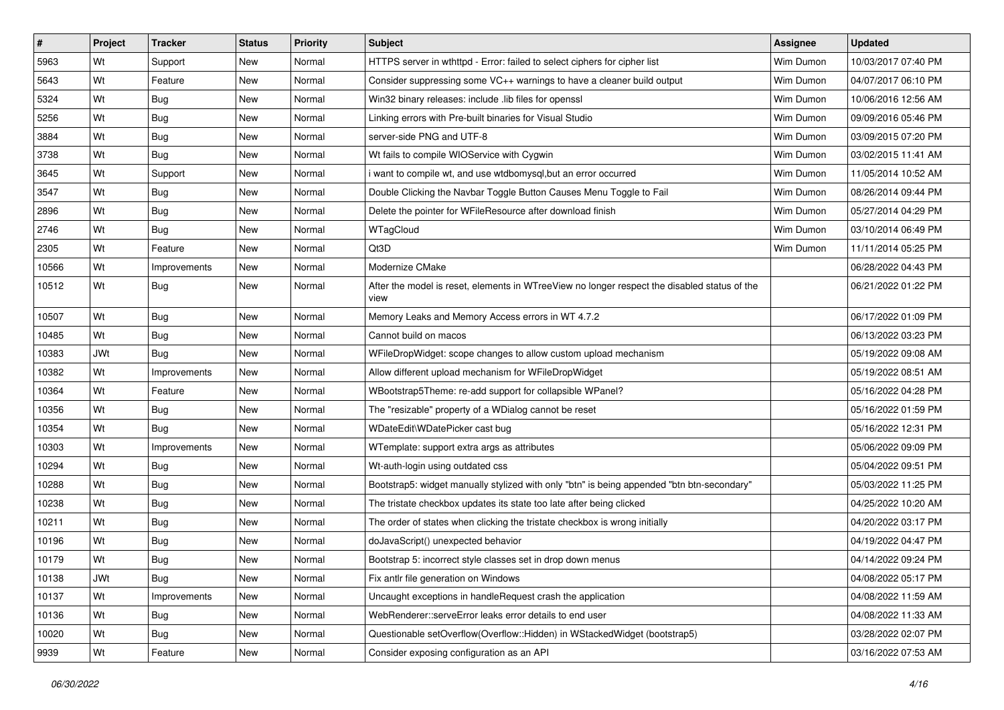| $\vert$ # | Project    | <b>Tracker</b> | <b>Status</b> | <b>Priority</b> | <b>Subject</b>                                                                                       | Assignee  | <b>Updated</b>      |
|-----------|------------|----------------|---------------|-----------------|------------------------------------------------------------------------------------------------------|-----------|---------------------|
| 5963      | Wt         | Support        | <b>New</b>    | Normal          | HTTPS server in wthttpd - Error: failed to select ciphers for cipher list                            | Wim Dumon | 10/03/2017 07:40 PM |
| 5643      | Wt         | Feature        | <b>New</b>    | Normal          | Consider suppressing some VC++ warnings to have a cleaner build output                               | Wim Dumon | 04/07/2017 06:10 PM |
| 5324      | Wt         | <b>Bug</b>     | <b>New</b>    | Normal          | Win32 binary releases: include .lib files for openssl                                                | Wim Dumon | 10/06/2016 12:56 AM |
| 5256      | Wt         | <b>Bug</b>     | <b>New</b>    | Normal          | Linking errors with Pre-built binaries for Visual Studio                                             | Wim Dumon | 09/09/2016 05:46 PM |
| 3884      | Wt         | <b>Bug</b>     | <b>New</b>    | Normal          | server-side PNG and UTF-8                                                                            | Wim Dumon | 03/09/2015 07:20 PM |
| 3738      | Wt         | Bug            | <b>New</b>    | Normal          | Wt fails to compile WIOService with Cygwin                                                           | Wim Dumon | 03/02/2015 11:41 AM |
| 3645      | Wt         | Support        | <b>New</b>    | Normal          | i want to compile wt, and use wtdbomysql, but an error occurred                                      | Wim Dumon | 11/05/2014 10:52 AM |
| 3547      | Wt         | <b>Bug</b>     | <b>New</b>    | Normal          | Double Clicking the Navbar Toggle Button Causes Menu Toggle to Fail                                  | Wim Dumon | 08/26/2014 09:44 PM |
| 2896      | Wt         | <b>Bug</b>     | <b>New</b>    | Normal          | Delete the pointer for WFileResource after download finish                                           | Wim Dumon | 05/27/2014 04:29 PM |
| 2746      | Wt         | <b>Bug</b>     | <b>New</b>    | Normal          | WTagCloud                                                                                            | Wim Dumon | 03/10/2014 06:49 PM |
| 2305      | Wt         | Feature        | <b>New</b>    | Normal          | Qt3D                                                                                                 | Wim Dumon | 11/11/2014 05:25 PM |
| 10566     | Wt         | Improvements   | New           | Normal          | Modernize CMake                                                                                      |           | 06/28/2022 04:43 PM |
| 10512     | Wt         | <b>Bug</b>     | <b>New</b>    | Normal          | After the model is reset, elements in WTreeView no longer respect the disabled status of the<br>view |           | 06/21/2022 01:22 PM |
| 10507     | Wt         | <b>Bug</b>     | <b>New</b>    | Normal          | Memory Leaks and Memory Access errors in WT 4.7.2                                                    |           | 06/17/2022 01:09 PM |
| 10485     | Wt         | Bug            | <b>New</b>    | Normal          | Cannot build on macos                                                                                |           | 06/13/2022 03:23 PM |
| 10383     | <b>JWt</b> | Bug            | <b>New</b>    | Normal          | WFileDropWidget: scope changes to allow custom upload mechanism                                      |           | 05/19/2022 09:08 AM |
| 10382     | Wt         | Improvements   | <b>New</b>    | Normal          | Allow different upload mechanism for WFileDropWidget                                                 |           | 05/19/2022 08:51 AM |
| 10364     | Wt         | Feature        | <b>New</b>    | Normal          | WBootstrap5Theme: re-add support for collapsible WPanel?                                             |           | 05/16/2022 04:28 PM |
| 10356     | Wt         | <b>Bug</b>     | <b>New</b>    | Normal          | The "resizable" property of a WDialog cannot be reset                                                |           | 05/16/2022 01:59 PM |
| 10354     | Wt         | Bug            | <b>New</b>    | Normal          | WDateEdit\WDatePicker cast bug                                                                       |           | 05/16/2022 12:31 PM |
| 10303     | Wt         | Improvements   | New           | Normal          | WTemplate: support extra args as attributes                                                          |           | 05/06/2022 09:09 PM |
| 10294     | Wt         | <b>Bug</b>     | <b>New</b>    | Normal          | Wt-auth-login using outdated css                                                                     |           | 05/04/2022 09:51 PM |
| 10288     | Wt         | <b>Bug</b>     | <b>New</b>    | Normal          | Bootstrap5: widget manually stylized with only "btn" is being appended "btn btn-secondary"           |           | 05/03/2022 11:25 PM |
| 10238     | Wt         | <b>Bug</b>     | New           | Normal          | The tristate checkbox updates its state too late after being clicked                                 |           | 04/25/2022 10:20 AM |
| 10211     | Wt         | <b>Bug</b>     | <b>New</b>    | Normal          | The order of states when clicking the tristate checkbox is wrong initially                           |           | 04/20/2022 03:17 PM |
| 10196     | Wt         | <b>Bug</b>     | New           | Normal          | doJavaScript() unexpected behavior                                                                   |           | 04/19/2022 04:47 PM |
| 10179     | Wt         | <b>Bug</b>     | New           | Normal          | Bootstrap 5: incorrect style classes set in drop down menus                                          |           | 04/14/2022 09:24 PM |
| 10138     | <b>JWt</b> | <b>Bug</b>     | New           | Normal          | Fix antlr file generation on Windows                                                                 |           | 04/08/2022 05:17 PM |
| 10137     | Wt         | Improvements   | <b>New</b>    | Normal          | Uncaught exceptions in handleRequest crash the application                                           |           | 04/08/2022 11:59 AM |
| 10136     | Wt         | <b>Bug</b>     | New           | Normal          | WebRenderer::serveError leaks error details to end user                                              |           | 04/08/2022 11:33 AM |
| 10020     | Wt         | Bug            | New           | Normal          | Questionable setOverflow(Overflow::Hidden) in WStackedWidget (bootstrap5)                            |           | 03/28/2022 02:07 PM |
| 9939      | Wt         | Feature        | New           | Normal          | Consider exposing configuration as an API                                                            |           | 03/16/2022 07:53 AM |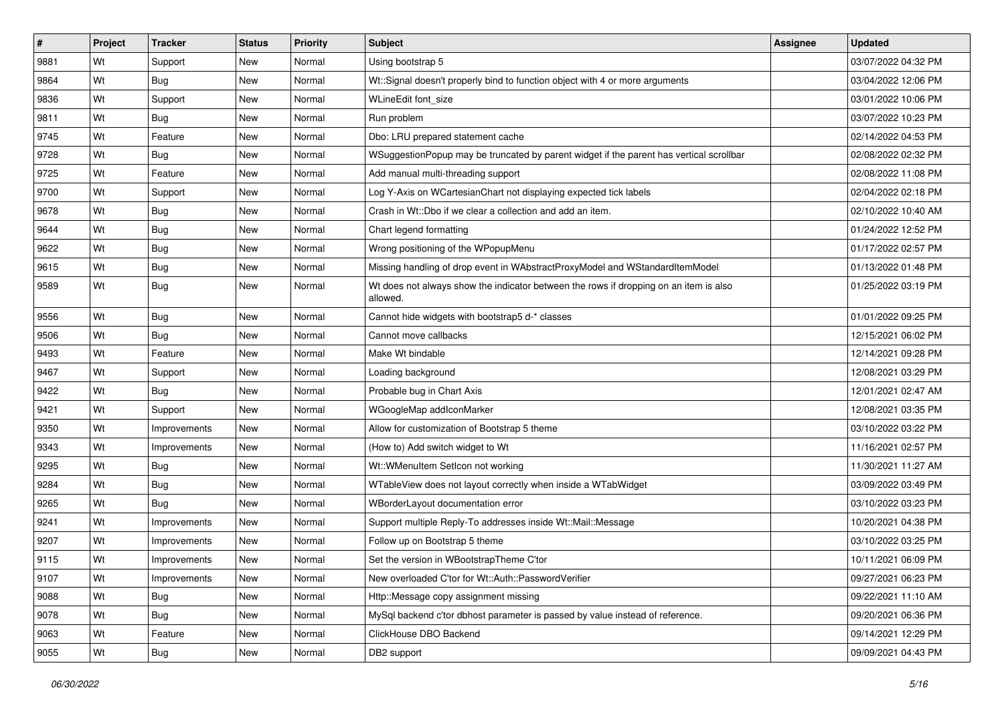| $\vert$ # | Project | <b>Tracker</b> | <b>Status</b> | <b>Priority</b> | <b>Subject</b>                                                                                    | Assignee | <b>Updated</b>      |
|-----------|---------|----------------|---------------|-----------------|---------------------------------------------------------------------------------------------------|----------|---------------------|
| 9881      | Wt      | Support        | New           | Normal          | Using bootstrap 5                                                                                 |          | 03/07/2022 04:32 PM |
| 9864      | Wt      | <b>Bug</b>     | New           | Normal          | Wt::Signal doesn't properly bind to function object with 4 or more arguments                      |          | 03/04/2022 12:06 PM |
| 9836      | Wt      | Support        | New           | Normal          | WLineEdit font size                                                                               |          | 03/01/2022 10:06 PM |
| 9811      | Wt      | <b>Bug</b>     | New           | Normal          | Run problem                                                                                       |          | 03/07/2022 10:23 PM |
| 9745      | Wt      | Feature        | <b>New</b>    | Normal          | Dbo: LRU prepared statement cache                                                                 |          | 02/14/2022 04:53 PM |
| 9728      | Wt      | Bug            | New           | Normal          | WSuggestionPopup may be truncated by parent widget if the parent has vertical scrollbar           |          | 02/08/2022 02:32 PM |
| 9725      | Wt      | Feature        | New           | Normal          | Add manual multi-threading support                                                                |          | 02/08/2022 11:08 PM |
| 9700      | Wt      | Support        | New           | Normal          | Log Y-Axis on WCartesianChart not displaying expected tick labels                                 |          | 02/04/2022 02:18 PM |
| 9678      | Wt      | <b>Bug</b>     | New           | Normal          | Crash in Wt::Dbo if we clear a collection and add an item.                                        |          | 02/10/2022 10:40 AM |
| 9644      | Wt      | <b>Bug</b>     | New           | Normal          | Chart legend formatting                                                                           |          | 01/24/2022 12:52 PM |
| 9622      | Wt      | Bug            | New           | Normal          | Wrong positioning of the WPopupMenu                                                               |          | 01/17/2022 02:57 PM |
| 9615      | Wt      | <b>Bug</b>     | New           | Normal          | Missing handling of drop event in WAbstractProxyModel and WStandardItemModel                      |          | 01/13/2022 01:48 PM |
| 9589      | Wt      | <b>Bug</b>     | New           | Normal          | Wt does not always show the indicator between the rows if dropping on an item is also<br>allowed. |          | 01/25/2022 03:19 PM |
| 9556      | Wt      | <b>Bug</b>     | New           | Normal          | Cannot hide widgets with bootstrap5 d-* classes                                                   |          | 01/01/2022 09:25 PM |
| 9506      | Wt      | Bug            | New           | Normal          | Cannot move callbacks                                                                             |          | 12/15/2021 06:02 PM |
| 9493      | Wt      | Feature        | New           | Normal          | Make Wt bindable                                                                                  |          | 12/14/2021 09:28 PM |
| 9467      | Wt      | Support        | <b>New</b>    | Normal          | Loading background                                                                                |          | 12/08/2021 03:29 PM |
| 9422      | Wt      | Bug            | <b>New</b>    | Normal          | Probable bug in Chart Axis                                                                        |          | 12/01/2021 02:47 AM |
| 9421      | Wt      | Support        | <b>New</b>    | Normal          | WGoogleMap addIconMarker                                                                          |          | 12/08/2021 03:35 PM |
| 9350      | Wt      | Improvements   | <b>New</b>    | Normal          | Allow for customization of Bootstrap 5 theme                                                      |          | 03/10/2022 03:22 PM |
| 9343      | Wt      | Improvements   | <b>New</b>    | Normal          | (How to) Add switch widget to Wt                                                                  |          | 11/16/2021 02:57 PM |
| 9295      | Wt      | <b>Bug</b>     | <b>New</b>    | Normal          | Wt::WMenuItem SetIcon not working                                                                 |          | 11/30/2021 11:27 AM |
| 9284      | Wt      | Bug            | <b>New</b>    | Normal          | WTableView does not layout correctly when inside a WTabWidget                                     |          | 03/09/2022 03:49 PM |
| 9265      | Wt      | <b>Bug</b>     | <b>New</b>    | Normal          | WBorderLayout documentation error                                                                 |          | 03/10/2022 03:23 PM |
| 9241      | Wt      | Improvements   | <b>New</b>    | Normal          | Support multiple Reply-To addresses inside Wt::Mail::Message                                      |          | 10/20/2021 04:38 PM |
| 9207      | Wt      | Improvements   | <b>New</b>    | Normal          | Follow up on Bootstrap 5 theme                                                                    |          | 03/10/2022 03:25 PM |
| 9115      | Wt      | Improvements   | <b>New</b>    | Normal          | Set the version in WBootstrapTheme C'tor                                                          |          | 10/11/2021 06:09 PM |
| 9107      | Wt      | Improvements   | New           | Normal          | New overloaded C'tor for Wt::Auth::PasswordVerifier                                               |          | 09/27/2021 06:23 PM |
| 9088      | Wt      | <b>Bug</b>     | New           | Normal          | Http::Message copy assignment missing                                                             |          | 09/22/2021 11:10 AM |
| 9078      | Wt      | <b>Bug</b>     | New           | Normal          | MySql backend c'tor dbhost parameter is passed by value instead of reference.                     |          | 09/20/2021 06:36 PM |
| 9063      | Wt      | Feature        | New           | Normal          | ClickHouse DBO Backend                                                                            |          | 09/14/2021 12:29 PM |
| 9055      | Wt      | <b>Bug</b>     | New           | Normal          | DB2 support                                                                                       |          | 09/09/2021 04:43 PM |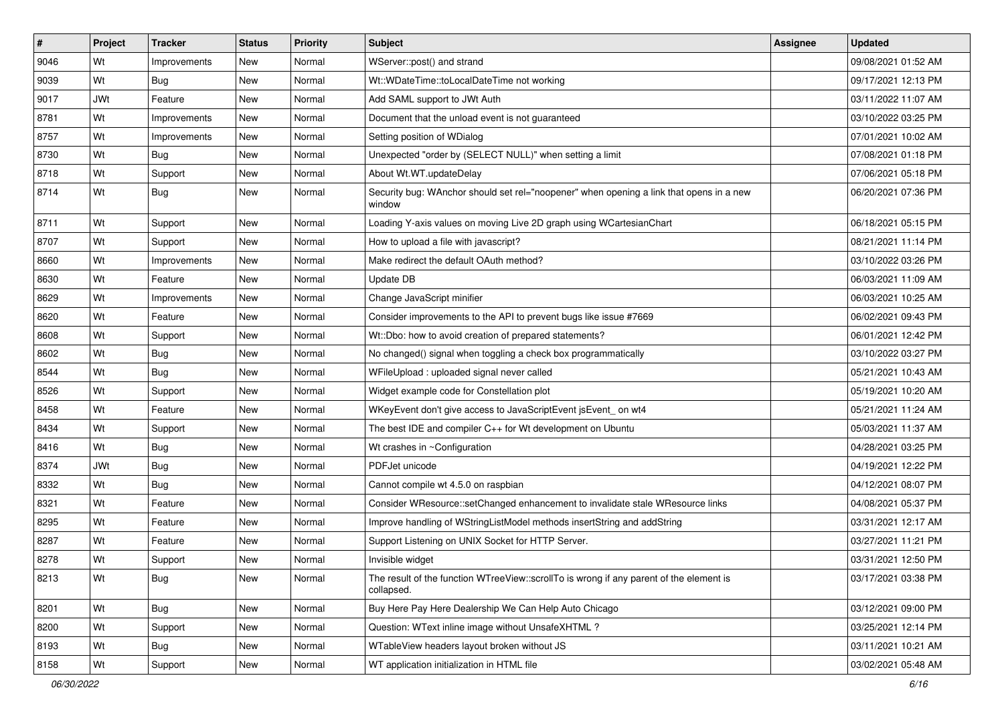| $\vert$ # | Project    | <b>Tracker</b> | <b>Status</b> | <b>Priority</b> | <b>Subject</b>                                                                                        | <b>Assignee</b> | <b>Updated</b>      |
|-----------|------------|----------------|---------------|-----------------|-------------------------------------------------------------------------------------------------------|-----------------|---------------------|
| 9046      | Wt         | Improvements   | <b>New</b>    | Normal          | WServer::post() and strand                                                                            |                 | 09/08/2021 01:52 AM |
| 9039      | Wt         | Bug            | <b>New</b>    | Normal          | Wt::WDateTime::toLocalDateTime not working                                                            |                 | 09/17/2021 12:13 PM |
| 9017      | <b>JWt</b> | Feature        | <b>New</b>    | Normal          | Add SAML support to JWt Auth                                                                          |                 | 03/11/2022 11:07 AM |
| 8781      | Wt         | Improvements   | <b>New</b>    | Normal          | Document that the unload event is not guaranteed                                                      |                 | 03/10/2022 03:25 PM |
| 8757      | Wt         | Improvements   | <b>New</b>    | Normal          | Setting position of WDialog                                                                           |                 | 07/01/2021 10:02 AM |
| 8730      | Wt         | Bug            | <b>New</b>    | Normal          | Unexpected "order by (SELECT NULL)" when setting a limit                                              |                 | 07/08/2021 01:18 PM |
| 8718      | Wt         | Support        | <b>New</b>    | Normal          | About Wt.WT.updateDelay                                                                               |                 | 07/06/2021 05:18 PM |
| 8714      | Wt         | <b>Bug</b>     | <b>New</b>    | Normal          | Security bug: WAnchor should set rel="noopener" when opening a link that opens in a new<br>window     |                 | 06/20/2021 07:36 PM |
| 8711      | Wt         | Support        | <b>New</b>    | Normal          | Loading Y-axis values on moving Live 2D graph using WCartesianChart                                   |                 | 06/18/2021 05:15 PM |
| 8707      | Wt         | Support        | <b>New</b>    | Normal          | How to upload a file with javascript?                                                                 |                 | 08/21/2021 11:14 PM |
| 8660      | Wt         | Improvements   | <b>New</b>    | Normal          | Make redirect the default OAuth method?                                                               |                 | 03/10/2022 03:26 PM |
| 8630      | Wt         | Feature        | <b>New</b>    | Normal          | Update DB                                                                                             |                 | 06/03/2021 11:09 AM |
| 8629      | Wt         | Improvements   | <b>New</b>    | Normal          | Change JavaScript minifier                                                                            |                 | 06/03/2021 10:25 AM |
| 8620      | Wt         | Feature        | <b>New</b>    | Normal          | Consider improvements to the API to prevent bugs like issue #7669                                     |                 | 06/02/2021 09:43 PM |
| 8608      | Wt         | Support        | <b>New</b>    | Normal          | Wt::Dbo: how to avoid creation of prepared statements?                                                |                 | 06/01/2021 12:42 PM |
| 8602      | Wt         | <b>Bug</b>     | <b>New</b>    | Normal          | No changed() signal when toggling a check box programmatically                                        |                 | 03/10/2022 03:27 PM |
| 8544      | Wt         | <b>Bug</b>     | <b>New</b>    | Normal          | WFileUpload : uploaded signal never called                                                            |                 | 05/21/2021 10:43 AM |
| 8526      | Wt         | Support        | <b>New</b>    | Normal          | Widget example code for Constellation plot                                                            |                 | 05/19/2021 10:20 AM |
| 8458      | Wt         | Feature        | <b>New</b>    | Normal          | WKeyEvent don't give access to JavaScriptEvent jsEvent_on wt4                                         |                 | 05/21/2021 11:24 AM |
| 8434      | Wt         | Support        | <b>New</b>    | Normal          | The best IDE and compiler C++ for Wt development on Ubuntu                                            |                 | 05/03/2021 11:37 AM |
| 8416      | Wt         | <b>Bug</b>     | <b>New</b>    | Normal          | Wt crashes in ~Configuration                                                                          |                 | 04/28/2021 03:25 PM |
| 8374      | <b>JWt</b> | <b>Bug</b>     | <b>New</b>    | Normal          | PDFJet unicode                                                                                        |                 | 04/19/2021 12:22 PM |
| 8332      | Wt         | Bug            | <b>New</b>    | Normal          | Cannot compile wt 4.5.0 on raspbian                                                                   |                 | 04/12/2021 08:07 PM |
| 8321      | Wt         | Feature        | <b>New</b>    | Normal          | Consider WResource::setChanged enhancement to invalidate stale WResource links                        |                 | 04/08/2021 05:37 PM |
| 8295      | Wt         | Feature        | <b>New</b>    | Normal          | Improve handling of WStringListModel methods insertString and addString                               |                 | 03/31/2021 12:17 AM |
| 8287      | Wt         | Feature        | New           | Normal          | Support Listening on UNIX Socket for HTTP Server.                                                     |                 | 03/27/2021 11:21 PM |
| 8278      | Wt         | Support        | New           | Normal          | Invisible widget                                                                                      |                 | 03/31/2021 12:50 PM |
| 8213      | Wt         | <b>Bug</b>     | New           | Normal          | The result of the function WTreeView::scrollTo is wrong if any parent of the element is<br>collapsed. |                 | 03/17/2021 03:38 PM |
| 8201      | Wt         | <b>Bug</b>     | <b>New</b>    | Normal          | Buy Here Pay Here Dealership We Can Help Auto Chicago                                                 |                 | 03/12/2021 09:00 PM |
| 8200      | Wt         | Support        | <b>New</b>    | Normal          | Question: WText inline image without UnsafeXHTML?                                                     |                 | 03/25/2021 12:14 PM |
| 8193      | Wt         | <b>Bug</b>     | New           | Normal          | WTableView headers layout broken without JS                                                           |                 | 03/11/2021 10:21 AM |
| 8158      | Wt         | Support        | New           | Normal          | WT application initialization in HTML file                                                            |                 | 03/02/2021 05:48 AM |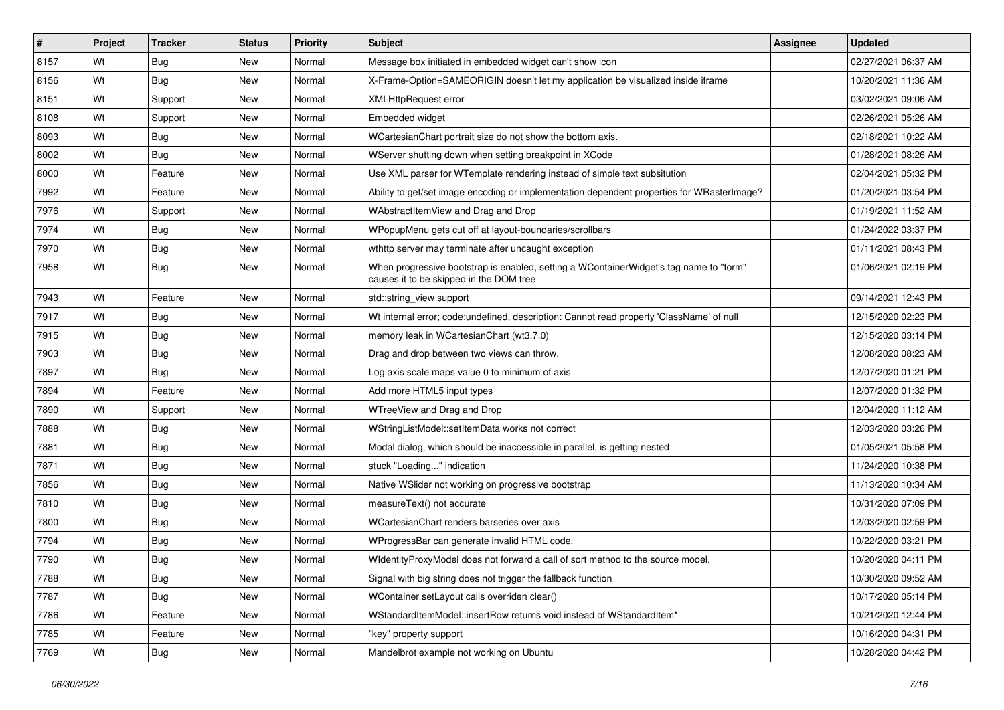| $\vert$ # | Project | <b>Tracker</b> | <b>Status</b> | <b>Priority</b> | <b>Subject</b>                                                                                                                    | <b>Assignee</b> | <b>Updated</b>      |
|-----------|---------|----------------|---------------|-----------------|-----------------------------------------------------------------------------------------------------------------------------------|-----------------|---------------------|
| 8157      | Wt      | <b>Bug</b>     | New           | Normal          | Message box initiated in embedded widget can't show icon                                                                          |                 | 02/27/2021 06:37 AM |
| 8156      | Wt      | <b>Bug</b>     | <b>New</b>    | Normal          | X-Frame-Option=SAMEORIGIN doesn't let my application be visualized inside iframe                                                  |                 | 10/20/2021 11:36 AM |
| 8151      | Wt      | Support        | <b>New</b>    | Normal          | <b>XMLHttpRequest error</b>                                                                                                       |                 | 03/02/2021 09:06 AM |
| 8108      | Wt      | Support        | New           | Normal          | Embedded widget                                                                                                                   |                 | 02/26/2021 05:26 AM |
| 8093      | Wt      | <b>Bug</b>     | <b>New</b>    | Normal          | WCartesianChart portrait size do not show the bottom axis.                                                                        |                 | 02/18/2021 10:22 AM |
| 8002      | Wt      | Bug            | <b>New</b>    | Normal          | WServer shutting down when setting breakpoint in XCode                                                                            |                 | 01/28/2021 08:26 AM |
| 8000      | Wt      | Feature        | <b>New</b>    | Normal          | Use XML parser for WTemplate rendering instead of simple text subsitution                                                         |                 | 02/04/2021 05:32 PM |
| 7992      | Wt      | Feature        | <b>New</b>    | Normal          | Ability to get/set image encoding or implementation dependent properties for WRasterlmage?                                        |                 | 01/20/2021 03:54 PM |
| 7976      | Wt      | Support        | <b>New</b>    | Normal          | WAbstractItemView and Drag and Drop                                                                                               |                 | 01/19/2021 11:52 AM |
| 7974      | Wt      | <b>Bug</b>     | <b>New</b>    | Normal          | WPopupMenu gets cut off at layout-boundaries/scrollbars                                                                           |                 | 01/24/2022 03:37 PM |
| 7970      | Wt      | <b>Bug</b>     | <b>New</b>    | Normal          | wthttp server may terminate after uncaught exception                                                                              |                 | 01/11/2021 08:43 PM |
| 7958      | Wt      | <b>Bug</b>     | New           | Normal          | When progressive bootstrap is enabled, setting a WContainerWidget's tag name to "form"<br>causes it to be skipped in the DOM tree |                 | 01/06/2021 02:19 PM |
| 7943      | Wt      | Feature        | <b>New</b>    | Normal          | std::string_view support                                                                                                          |                 | 09/14/2021 12:43 PM |
| 7917      | Wt      | <b>Bug</b>     | <b>New</b>    | Normal          | Wt internal error; code:undefined, description: Cannot read property 'ClassName' of null                                          |                 | 12/15/2020 02:23 PM |
| 7915      | Wt      | Bug            | <b>New</b>    | Normal          | memory leak in WCartesianChart (wt3.7.0)                                                                                          |                 | 12/15/2020 03:14 PM |
| 7903      | Wt      | <b>Bug</b>     | <b>New</b>    | Normal          | Drag and drop between two views can throw.                                                                                        |                 | 12/08/2020 08:23 AM |
| 7897      | Wt      | <b>Bug</b>     | <b>New</b>    | Normal          | Log axis scale maps value 0 to minimum of axis                                                                                    |                 | 12/07/2020 01:21 PM |
| 7894      | Wt      | Feature        | <b>New</b>    | Normal          | Add more HTML5 input types                                                                                                        |                 | 12/07/2020 01:32 PM |
| 7890      | Wt      | Support        | New           | Normal          | WTreeView and Drag and Drop                                                                                                       |                 | 12/04/2020 11:12 AM |
| 7888      | Wt      | <b>Bug</b>     | <b>New</b>    | Normal          | WStringListModel::setItemData works not correct                                                                                   |                 | 12/03/2020 03:26 PM |
| 7881      | Wt      | <b>Bug</b>     | New           | Normal          | Modal dialog, which should be inaccessible in parallel, is getting nested                                                         |                 | 01/05/2021 05:58 PM |
| 7871      | Wt      | <b>Bug</b>     | <b>New</b>    | Normal          | stuck "Loading" indication                                                                                                        |                 | 11/24/2020 10:38 PM |
| 7856      | Wt      | <b>Bug</b>     | New           | Normal          | Native WSIider not working on progressive bootstrap                                                                               |                 | 11/13/2020 10:34 AM |
| 7810      | Wt      | <b>Bug</b>     | New           | Normal          | measureText() not accurate                                                                                                        |                 | 10/31/2020 07:09 PM |
| 7800      | Wt      | <b>Bug</b>     | <b>New</b>    | Normal          | WCartesianChart renders barseries over axis                                                                                       |                 | 12/03/2020 02:59 PM |
| 7794      | Wt      | <b>Bug</b>     | New           | Normal          | WProgressBar can generate invalid HTML code.                                                                                      |                 | 10/22/2020 03:21 PM |
| 7790      | Wt      | <b>Bug</b>     | New           | Normal          | WidentityProxyModel does not forward a call of sort method to the source model.                                                   |                 | 10/20/2020 04:11 PM |
| 7788      | Wt      | <b>Bug</b>     | New           | Normal          | Signal with big string does not trigger the fallback function                                                                     |                 | 10/30/2020 09:52 AM |
| 7787      | Wt      | <b>Bug</b>     | <b>New</b>    | Normal          | WContainer setLayout calls overriden clear()                                                                                      |                 | 10/17/2020 05:14 PM |
| 7786      | Wt      | Feature        | New           | Normal          | WStandardItemModel::insertRow returns void instead of WStandardItem*                                                              |                 | 10/21/2020 12:44 PM |
| 7785      | Wt      | Feature        | New           | Normal          | "key" property support                                                                                                            |                 | 10/16/2020 04:31 PM |
| 7769      | Wt      | <b>Bug</b>     | New           | Normal          | Mandelbrot example not working on Ubuntu                                                                                          |                 | 10/28/2020 04:42 PM |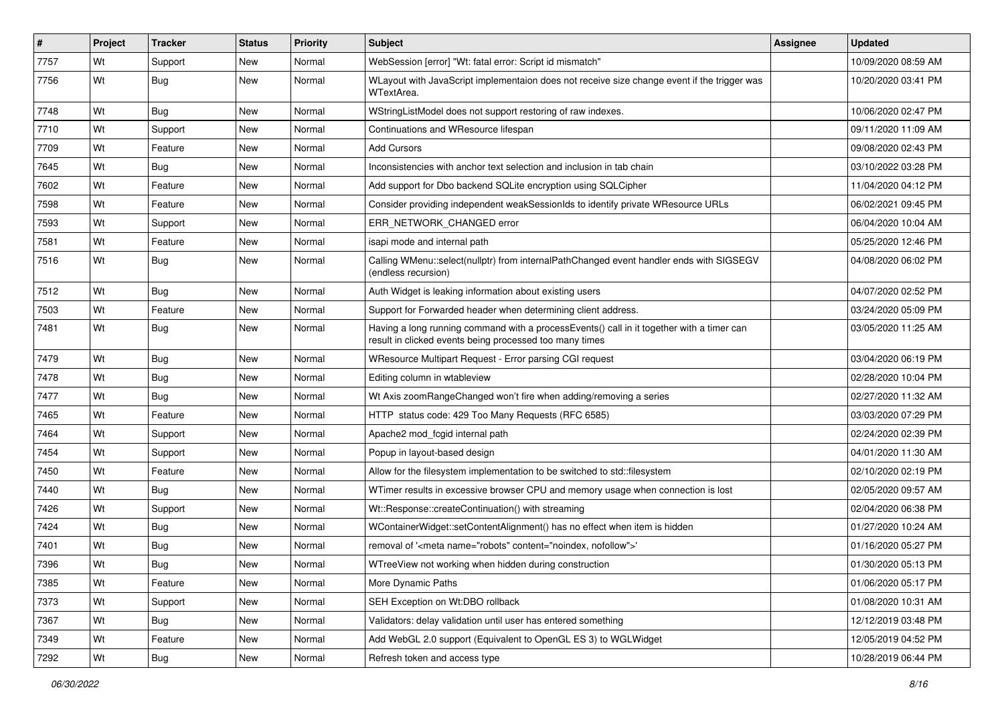| #    | Project | <b>Tracker</b> | <b>Status</b> | <b>Priority</b> | <b>Subject</b>                                                                                                                                       | Assignee | <b>Updated</b>      |
|------|---------|----------------|---------------|-----------------|------------------------------------------------------------------------------------------------------------------------------------------------------|----------|---------------------|
| 7757 | Wt      | Support        | New           | Normal          | WebSession [error] "Wt: fatal error: Script id mismatch"                                                                                             |          | 10/09/2020 08:59 AM |
| 7756 | Wt      | Bug            | New           | Normal          | WLayout with JavaScript implementaion does not receive size change event if the trigger was<br>WTextArea.                                            |          | 10/20/2020 03:41 PM |
| 7748 | Wt      | <b>Bug</b>     | <b>New</b>    | Normal          | WStringListModel does not support restoring of raw indexes.                                                                                          |          | 10/06/2020 02:47 PM |
| 7710 | Wt      | Support        | New           | Normal          | Continuations and WResource lifespan                                                                                                                 |          | 09/11/2020 11:09 AM |
| 7709 | Wt      | Feature        | <b>New</b>    | Normal          | <b>Add Cursors</b>                                                                                                                                   |          | 09/08/2020 02:43 PM |
| 7645 | Wt      | <b>Bug</b>     | New           | Normal          | Inconsistencies with anchor text selection and inclusion in tab chain                                                                                |          | 03/10/2022 03:28 PM |
| 7602 | Wt      | Feature        | New           | Normal          | Add support for Dbo backend SQLite encryption using SQLCipher                                                                                        |          | 11/04/2020 04:12 PM |
| 7598 | Wt      | Feature        | <b>New</b>    | Normal          | Consider providing independent weakSessionIds to identify private WResource URLs                                                                     |          | 06/02/2021 09:45 PM |
| 7593 | Wt      | Support        | New           | Normal          | ERR_NETWORK_CHANGED error                                                                                                                            |          | 06/04/2020 10:04 AM |
| 7581 | Wt      | Feature        | New           | Normal          | isapi mode and internal path                                                                                                                         |          | 05/25/2020 12:46 PM |
| 7516 | Wt      | <b>Bug</b>     | New           | Normal          | Calling WMenu::select(nullptr) from internalPathChanged event handler ends with SIGSEGV<br>(endless recursion)                                       |          | 04/08/2020 06:02 PM |
| 7512 | Wt      | Bug            | New           | Normal          | Auth Widget is leaking information about existing users                                                                                              |          | 04/07/2020 02:52 PM |
| 7503 | Wt      | Feature        | New           | Normal          | Support for Forwarded header when determining client address.                                                                                        |          | 03/24/2020 05:09 PM |
| 7481 | Wt      | Bug            | New           | Normal          | Having a long running command with a processEvents() call in it together with a timer can<br>result in clicked events being processed too many times |          | 03/05/2020 11:25 AM |
| 7479 | Wt      | <b>Bug</b>     | New           | Normal          | WResource Multipart Request - Error parsing CGI request                                                                                              |          | 03/04/2020 06:19 PM |
| 7478 | Wt      | Bug            | New           | Normal          | Editing column in wtableview                                                                                                                         |          | 02/28/2020 10:04 PM |
| 7477 | Wt      | <b>Bug</b>     | New           | Normal          | Wt Axis zoomRangeChanged won't fire when adding/removing a series                                                                                    |          | 02/27/2020 11:32 AM |
| 7465 | Wt      | Feature        | <b>New</b>    | Normal          | HTTP status code: 429 Too Many Requests (RFC 6585)                                                                                                   |          | 03/03/2020 07:29 PM |
| 7464 | Wt      | Support        | New           | Normal          | Apache2 mod fcgid internal path                                                                                                                      |          | 02/24/2020 02:39 PM |
| 7454 | Wt      | Support        | New           | Normal          | Popup in layout-based design                                                                                                                         |          | 04/01/2020 11:30 AM |
| 7450 | Wt      | Feature        | New           | Normal          | Allow for the filesystem implementation to be switched to std::filesystem                                                                            |          | 02/10/2020 02:19 PM |
| 7440 | Wt      | Bug            | <b>New</b>    | Normal          | WTimer results in excessive browser CPU and memory usage when connection is lost                                                                     |          | 02/05/2020 09:57 AM |
| 7426 | Wt      | Support        | New           | Normal          | Wt::Response::createContinuation() with streaming                                                                                                    |          | 02/04/2020 06:38 PM |
| 7424 | Wt      | <b>Bug</b>     | New           | Normal          | WContainerWidget::setContentAlignment() has no effect when item is hidden                                                                            |          | 01/27/2020 10:24 AM |
| 7401 | Wt      | <b>Bug</b>     | New           | Normal          | removal of ' <meta content="noindex, nofollow" name="robots"/> '                                                                                     |          | 01/16/2020 05:27 PM |
| 7396 | Wt      | Bug            | New           | Normal          | WTreeView not working when hidden during construction                                                                                                |          | 01/30/2020 05:13 PM |
| 7385 | Wt      | Feature        | New           | Normal          | More Dynamic Paths                                                                                                                                   |          | 01/06/2020 05:17 PM |
| 7373 | Wt      | Support        | New           | Normal          | SEH Exception on Wt:DBO rollback                                                                                                                     |          | 01/08/2020 10:31 AM |
| 7367 | Wt      | Bug            | New           | Normal          | Validators: delay validation until user has entered something                                                                                        |          | 12/12/2019 03:48 PM |
| 7349 | Wt      | Feature        | New           | Normal          | Add WebGL 2.0 support (Equivalent to OpenGL ES 3) to WGLWidget                                                                                       |          | 12/05/2019 04:52 PM |
| 7292 | Wt      | <b>Bug</b>     | New           | Normal          | Refresh token and access type                                                                                                                        |          | 10/28/2019 06:44 PM |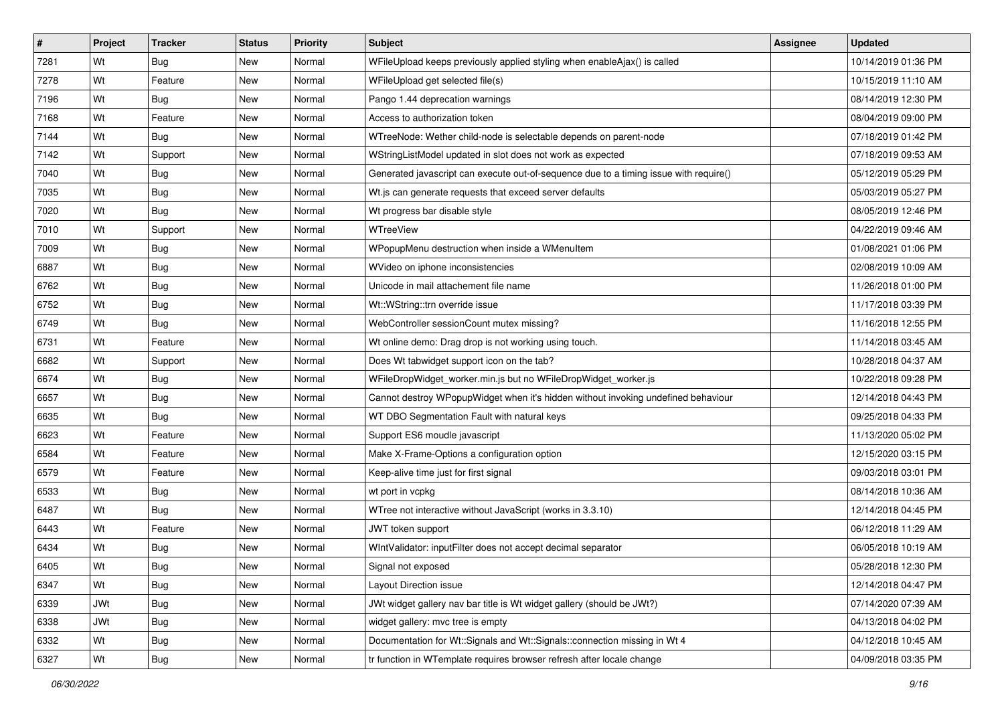| #    | Project | <b>Tracker</b> | <b>Status</b> | <b>Priority</b> | <b>Subject</b>                                                                        | Assignee | <b>Updated</b>      |
|------|---------|----------------|---------------|-----------------|---------------------------------------------------------------------------------------|----------|---------------------|
| 7281 | Wt      | <b>Bug</b>     | New           | Normal          | WFileUpload keeps previously applied styling when enableAjax() is called              |          | 10/14/2019 01:36 PM |
| 7278 | Wt      | Feature        | <b>New</b>    | Normal          | WFileUpload get selected file(s)                                                      |          | 10/15/2019 11:10 AM |
| 7196 | Wt      | Bug            | <b>New</b>    | Normal          | Pango 1.44 deprecation warnings                                                       |          | 08/14/2019 12:30 PM |
| 7168 | Wt      | Feature        | New           | Normal          | Access to authorization token                                                         |          | 08/04/2019 09:00 PM |
| 7144 | Wt      | Bug            | <b>New</b>    | Normal          | WTreeNode: Wether child-node is selectable depends on parent-node                     |          | 07/18/2019 01:42 PM |
| 7142 | Wt      | Support        | New           | Normal          | WStringListModel updated in slot does not work as expected                            |          | 07/18/2019 09:53 AM |
| 7040 | Wt      | Bug            | New           | Normal          | Generated javascript can execute out-of-sequence due to a timing issue with require() |          | 05/12/2019 05:29 PM |
| 7035 | Wt      | <b>Bug</b>     | <b>New</b>    | Normal          | Wt.js can generate requests that exceed server defaults                               |          | 05/03/2019 05:27 PM |
| 7020 | Wt      | Bug            | <b>New</b>    | Normal          | Wt progress bar disable style                                                         |          | 08/05/2019 12:46 PM |
| 7010 | Wt      | Support        | <b>New</b>    | Normal          | WTreeView                                                                             |          | 04/22/2019 09:46 AM |
| 7009 | Wt      | <b>Bug</b>     | <b>New</b>    | Normal          | WPopupMenu destruction when inside a WMenuItem                                        |          | 01/08/2021 01:06 PM |
| 6887 | Wt      | <b>Bug</b>     | New           | Normal          | WVideo on iphone inconsistencies                                                      |          | 02/08/2019 10:09 AM |
| 6762 | Wt      | Bug            | <b>New</b>    | Normal          | Unicode in mail attachement file name                                                 |          | 11/26/2018 01:00 PM |
| 6752 | Wt      | Bug            | New           | Normal          | Wt::WString::trn override issue                                                       |          | 11/17/2018 03:39 PM |
| 6749 | Wt      | Bug            | <b>New</b>    | Normal          | WebController sessionCount mutex missing?                                             |          | 11/16/2018 12:55 PM |
| 6731 | Wt      | Feature        | <b>New</b>    | Normal          | Wt online demo: Drag drop is not working using touch.                                 |          | 11/14/2018 03:45 AM |
| 6682 | Wt      | Support        | <b>New</b>    | Normal          | Does Wt tabwidget support icon on the tab?                                            |          | 10/28/2018 04:37 AM |
| 6674 | Wt      | Bug            | <b>New</b>    | Normal          | WFileDropWidget_worker.min.js but no WFileDropWidget_worker.js                        |          | 10/22/2018 09:28 PM |
| 6657 | Wt      | <b>Bug</b>     | New           | Normal          | Cannot destroy WPopupWidget when it's hidden without invoking undefined behaviour     |          | 12/14/2018 04:43 PM |
| 6635 | Wt      | <b>Bug</b>     | New           | Normal          | WT DBO Segmentation Fault with natural keys                                           |          | 09/25/2018 04:33 PM |
| 6623 | Wt      | Feature        | <b>New</b>    | Normal          | Support ES6 moudle javascript                                                         |          | 11/13/2020 05:02 PM |
| 6584 | Wt      | Feature        | <b>New</b>    | Normal          | Make X-Frame-Options a configuration option                                           |          | 12/15/2020 03:15 PM |
| 6579 | Wt      | Feature        | <b>New</b>    | Normal          | Keep-alive time just for first signal                                                 |          | 09/03/2018 03:01 PM |
| 6533 | Wt      | Bug            | New           | Normal          | wt port in vcpkg                                                                      |          | 08/14/2018 10:36 AM |
| 6487 | Wt      | <b>Bug</b>     | New           | Normal          | WTree not interactive without JavaScript (works in 3.3.10)                            |          | 12/14/2018 04:45 PM |
| 6443 | Wt      | Feature        | <b>New</b>    | Normal          | JWT token support                                                                     |          | 06/12/2018 11:29 AM |
| 6434 | Wt      | Bug            | New           | Normal          | WIntValidator: inputFilter does not accept decimal separator                          |          | 06/05/2018 10:19 AM |
| 6405 | Wt      | <b>Bug</b>     | New           | Normal          | Signal not exposed                                                                    |          | 05/28/2018 12:30 PM |
| 6347 | Wt      | <b>Bug</b>     | New           | Normal          | Layout Direction issue                                                                |          | 12/14/2018 04:47 PM |
| 6339 | JWt     | Bug            | New           | Normal          | JWt widget gallery nav bar title is Wt widget gallery (should be JWt?)                |          | 07/14/2020 07:39 AM |
| 6338 | JWt     | <b>Bug</b>     | <b>New</b>    | Normal          | widget gallery: mvc tree is empty                                                     |          | 04/13/2018 04:02 PM |
| 6332 | Wt      | <b>Bug</b>     | New           | Normal          | Documentation for Wt::Signals and Wt::Signals::connection missing in Wt 4             |          | 04/12/2018 10:45 AM |
| 6327 | Wt      | <b>Bug</b>     | New           | Normal          | tr function in WTemplate requires browser refresh after locale change                 |          | 04/09/2018 03:35 PM |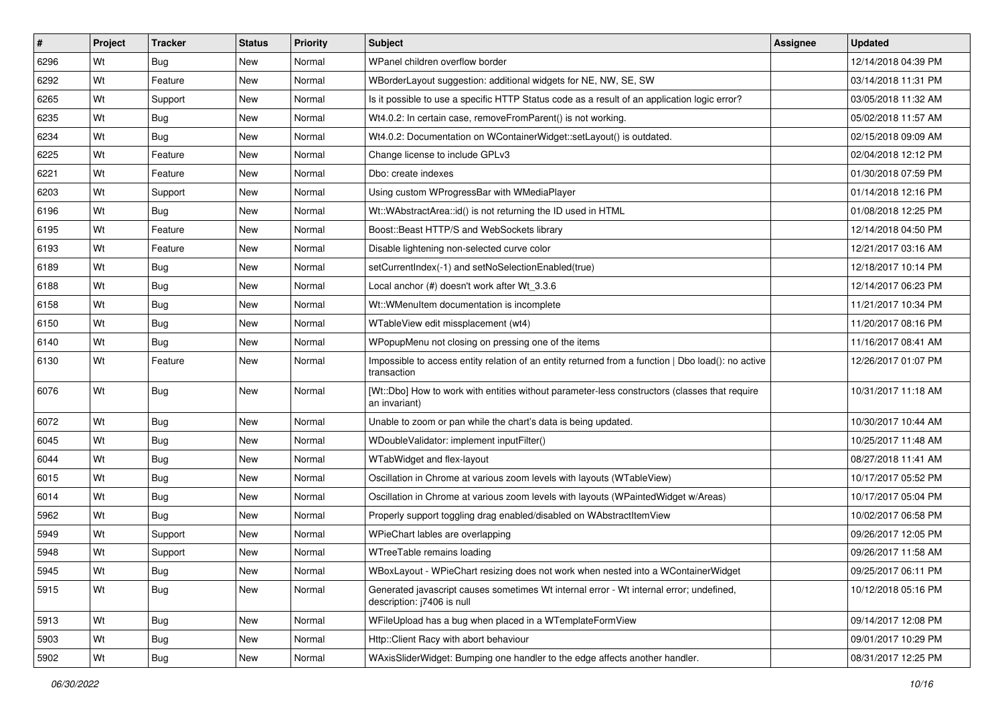| $\vert$ # | Project | <b>Tracker</b> | <b>Status</b> | <b>Priority</b> | <b>Subject</b>                                                                                                        | Assignee | <b>Updated</b>      |
|-----------|---------|----------------|---------------|-----------------|-----------------------------------------------------------------------------------------------------------------------|----------|---------------------|
| 6296      | Wt      | Bug            | New           | Normal          | WPanel children overflow border                                                                                       |          | 12/14/2018 04:39 PM |
| 6292      | Wt      | Feature        | New           | Normal          | WBorderLayout suggestion: additional widgets for NE, NW, SE, SW                                                       |          | 03/14/2018 11:31 PM |
| 6265      | Wt      | Support        | New           | Normal          | Is it possible to use a specific HTTP Status code as a result of an application logic error?                          |          | 03/05/2018 11:32 AM |
| 6235      | Wt      | <b>Bug</b>     | <b>New</b>    | Normal          | Wt4.0.2: In certain case, removeFromParent() is not working.                                                          |          | 05/02/2018 11:57 AM |
| 6234      | Wt      | <b>Bug</b>     | New           | Normal          | Wt4.0.2: Documentation on WContainerWidget::setLayout() is outdated.                                                  |          | 02/15/2018 09:09 AM |
| 6225      | Wt      | Feature        | New           | Normal          | Change license to include GPLv3                                                                                       |          | 02/04/2018 12:12 PM |
| 6221      | Wt      | Feature        | New           | Normal          | Dbo: create indexes                                                                                                   |          | 01/30/2018 07:59 PM |
| 6203      | Wt      | Support        | New           | Normal          | Using custom WProgressBar with WMediaPlayer                                                                           |          | 01/14/2018 12:16 PM |
| 6196      | Wt      | <b>Bug</b>     | New           | Normal          | Wt::WAbstractArea::id() is not returning the ID used in HTML                                                          |          | 01/08/2018 12:25 PM |
| 6195      | Wt      | Feature        | New           | Normal          | Boost::Beast HTTP/S and WebSockets library                                                                            |          | 12/14/2018 04:50 PM |
| 6193      | Wt      | Feature        | New           | Normal          | Disable lightening non-selected curve color                                                                           |          | 12/21/2017 03:16 AM |
| 6189      | Wt      | <b>Bug</b>     | New           | Normal          | setCurrentIndex(-1) and setNoSelectionEnabled(true)                                                                   |          | 12/18/2017 10:14 PM |
| 6188      | Wt      | <b>Bug</b>     | New           | Normal          | Local anchor (#) doesn't work after Wt_3.3.6                                                                          |          | 12/14/2017 06:23 PM |
| 6158      | Wt      | <b>Bug</b>     | New           | Normal          | Wt::WMenuItem documentation is incomplete                                                                             |          | 11/21/2017 10:34 PM |
| 6150      | Wt      | <b>Bug</b>     | <b>New</b>    | Normal          | WTableView edit missplacement (wt4)                                                                                   |          | 11/20/2017 08:16 PM |
| 6140      | Wt      | Bug            | New           | Normal          | WPopupMenu not closing on pressing one of the items                                                                   |          | 11/16/2017 08:41 AM |
| 6130      | Wt      | Feature        | <b>New</b>    | Normal          | Impossible to access entity relation of an entity returned from a function   Dbo load(): no active<br>transaction     |          | 12/26/2017 01:07 PM |
| 6076      | Wt      | <b>Bug</b>     | New           | Normal          | [Wt::Dbo] How to work with entities without parameter-less constructors (classes that require<br>an invariant)        |          | 10/31/2017 11:18 AM |
| 6072      | Wt      | <b>Bug</b>     | <b>New</b>    | Normal          | Unable to zoom or pan while the chart's data is being updated.                                                        |          | 10/30/2017 10:44 AM |
| 6045      | Wt      | <b>Bug</b>     | <b>New</b>    | Normal          | WDoubleValidator: implement inputFilter()                                                                             |          | 10/25/2017 11:48 AM |
| 6044      | Wt      | <b>Bug</b>     | <b>New</b>    | Normal          | WTabWidget and flex-layout                                                                                            |          | 08/27/2018 11:41 AM |
| 6015      | Wt      | <b>Bug</b>     | <b>New</b>    | Normal          | Oscillation in Chrome at various zoom levels with layouts (WTableView)                                                |          | 10/17/2017 05:52 PM |
| 6014      | Wt      | <b>Bug</b>     | <b>New</b>    | Normal          | Oscillation in Chrome at various zoom levels with layouts (WPaintedWidget w/Areas)                                    |          | 10/17/2017 05:04 PM |
| 5962      | Wt      | <b>Bug</b>     | <b>New</b>    | Normal          | Properly support toggling drag enabled/disabled on WAbstractItemView                                                  |          | 10/02/2017 06:58 PM |
| 5949      | Wt      | Support        | New           | Normal          | WPieChart lables are overlapping                                                                                      |          | 09/26/2017 12:05 PM |
| 5948      | Wt      | Support        | <b>New</b>    | Normal          | WTreeTable remains loading                                                                                            |          | 09/26/2017 11:58 AM |
| 5945      | Wt      | <b>Bug</b>     | New           | Normal          | WBoxLayout - WPieChart resizing does not work when nested into a WContainerWidget                                     |          | 09/25/2017 06:11 PM |
| 5915      | Wt      | <b>Bug</b>     | New           | Normal          | Generated javascript causes sometimes Wt internal error - Wt internal error; undefined,<br>description: j7406 is null |          | 10/12/2018 05:16 PM |
| 5913      | Wt      | Bug            | New           | Normal          | WFileUpload has a bug when placed in a WTemplateFormView                                                              |          | 09/14/2017 12:08 PM |
| 5903      | Wt      | <b>Bug</b>     | New           | Normal          | Http::Client Racy with abort behaviour                                                                                |          | 09/01/2017 10:29 PM |
| 5902      | Wt      | Bug            | New           | Normal          | WAxisSliderWidget: Bumping one handler to the edge affects another handler.                                           |          | 08/31/2017 12:25 PM |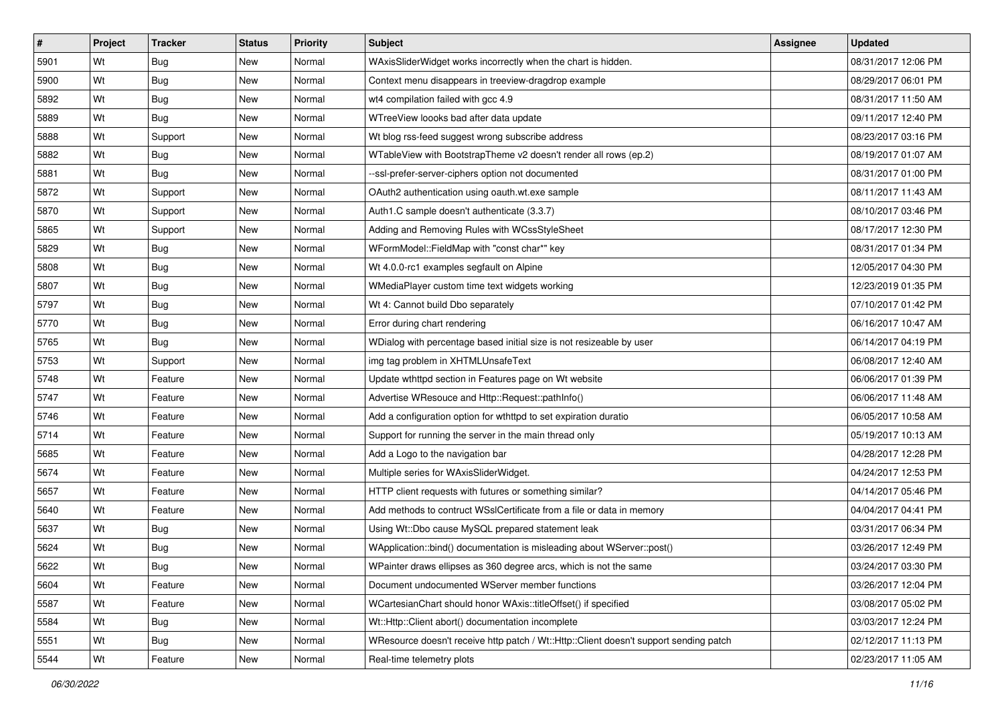| #    | Project | <b>Tracker</b> | <b>Status</b> | Priority | <b>Subject</b>                                                                        | <b>Assignee</b> | <b>Updated</b>      |
|------|---------|----------------|---------------|----------|---------------------------------------------------------------------------------------|-----------------|---------------------|
| 5901 | Wt      | <b>Bug</b>     | New           | Normal   | WAxisSliderWidget works incorrectly when the chart is hidden.                         |                 | 08/31/2017 12:06 PM |
| 5900 | Wt      | Bug            | New           | Normal   | Context menu disappears in treeview-dragdrop example                                  |                 | 08/29/2017 06:01 PM |
| 5892 | Wt      | <b>Bug</b>     | New           | Normal   | wt4 compilation failed with gcc 4.9                                                   |                 | 08/31/2017 11:50 AM |
| 5889 | Wt      | Bug            | <b>New</b>    | Normal   | WTreeView loooks bad after data update                                                |                 | 09/11/2017 12:40 PM |
| 5888 | Wt      | Support        | New           | Normal   | Wt blog rss-feed suggest wrong subscribe address                                      |                 | 08/23/2017 03:16 PM |
| 5882 | Wt      | <b>Bug</b>     | New           | Normal   | WTableView with BootstrapTheme v2 doesn't render all rows (ep.2)                      |                 | 08/19/2017 01:07 AM |
| 5881 | Wt      | <b>Bug</b>     | New           | Normal   | --ssl-prefer-server-ciphers option not documented                                     |                 | 08/31/2017 01:00 PM |
| 5872 | Wt      | Support        | New           | Normal   | OAuth2 authentication using oauth.wt.exe sample                                       |                 | 08/11/2017 11:43 AM |
| 5870 | Wt      | Support        | New           | Normal   | Auth1.C sample doesn't authenticate (3.3.7)                                           |                 | 08/10/2017 03:46 PM |
| 5865 | Wt      | Support        | New           | Normal   | Adding and Removing Rules with WCssStyleSheet                                         |                 | 08/17/2017 12:30 PM |
| 5829 | Wt      | <b>Bug</b>     | New           | Normal   | WFormModel::FieldMap with "const char*" key                                           |                 | 08/31/2017 01:34 PM |
| 5808 | Wt      | Bug            | New           | Normal   | Wt 4.0.0-rc1 examples segfault on Alpine                                              |                 | 12/05/2017 04:30 PM |
| 5807 | Wt      | Bug            | New           | Normal   | WMediaPlayer custom time text widgets working                                         |                 | 12/23/2019 01:35 PM |
| 5797 | Wt      | Bug            | New           | Normal   | Wt 4: Cannot build Dbo separately                                                     |                 | 07/10/2017 01:42 PM |
| 5770 | Wt      | Bug            | <b>New</b>    | Normal   | Error during chart rendering                                                          |                 | 06/16/2017 10:47 AM |
| 5765 | Wt      | Bug            | New           | Normal   | WDialog with percentage based initial size is not resizeable by user                  |                 | 06/14/2017 04:19 PM |
| 5753 | Wt      | Support        | <b>New</b>    | Normal   | img tag problem in XHTMLUnsafeText                                                    |                 | 06/08/2017 12:40 AM |
| 5748 | Wt      | Feature        | New           | Normal   | Update wthttpd section in Features page on Wt website                                 |                 | 06/06/2017 01:39 PM |
| 5747 | Wt      | Feature        | New           | Normal   | Advertise WResouce and Http::Request::pathInfo()                                      |                 | 06/06/2017 11:48 AM |
| 5746 | Wt      | Feature        | <b>New</b>    | Normal   | Add a configuration option for wthttpd to set expiration duratio                      |                 | 06/05/2017 10:58 AM |
| 5714 | Wt      | Feature        | New           | Normal   | Support for running the server in the main thread only                                |                 | 05/19/2017 10:13 AM |
| 5685 | Wt      | Feature        | New           | Normal   | Add a Logo to the navigation bar                                                      |                 | 04/28/2017 12:28 PM |
| 5674 | Wt      | Feature        | New           | Normal   | Multiple series for WAxisSliderWidget.                                                |                 | 04/24/2017 12:53 PM |
| 5657 | Wt      | Feature        | New           | Normal   | HTTP client requests with futures or something similar?                               |                 | 04/14/2017 05:46 PM |
| 5640 | Wt      | Feature        | New           | Normal   | Add methods to contruct WSsICertificate from a file or data in memory                 |                 | 04/04/2017 04:41 PM |
| 5637 | Wt      | <b>Bug</b>     | New           | Normal   | Using Wt::Dbo cause MySQL prepared statement leak                                     |                 | 03/31/2017 06:34 PM |
| 5624 | Wt      | <b>Bug</b>     | New           | Normal   | WApplication::bind() documentation is misleading about WServer::post()                |                 | 03/26/2017 12:49 PM |
| 5622 | Wt      | <b>Bug</b>     | New           | Normal   | WPainter draws ellipses as 360 degree arcs, which is not the same                     |                 | 03/24/2017 03:30 PM |
| 5604 | Wt      | Feature        | New           | Normal   | Document undocumented WServer member functions                                        |                 | 03/26/2017 12:04 PM |
| 5587 | Wt      | Feature        | New           | Normal   | WCartesianChart should honor WAxis::titleOffset() if specified                        |                 | 03/08/2017 05:02 PM |
| 5584 | Wt      | Bug            | New           | Normal   | Wt::Http::Client abort() documentation incomplete                                     |                 | 03/03/2017 12:24 PM |
| 5551 | Wt      | <b>Bug</b>     | New           | Normal   | WResource doesn't receive http patch / Wt::Http::Client doesn't support sending patch |                 | 02/12/2017 11:13 PM |
| 5544 | Wt      | Feature        | New           | Normal   | Real-time telemetry plots                                                             |                 | 02/23/2017 11:05 AM |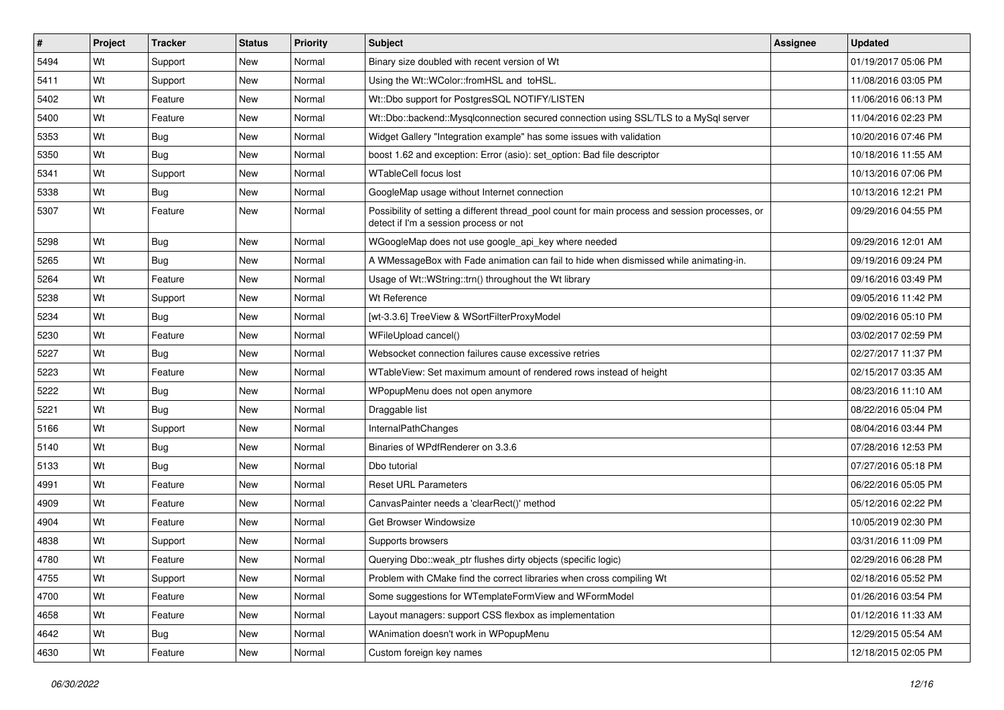| #    | Project | <b>Tracker</b> | <b>Status</b> | Priority | <b>Subject</b>                                                                                                                            | Assignee | <b>Updated</b>      |
|------|---------|----------------|---------------|----------|-------------------------------------------------------------------------------------------------------------------------------------------|----------|---------------------|
| 5494 | Wt      | Support        | <b>New</b>    | Normal   | Binary size doubled with recent version of Wt                                                                                             |          | 01/19/2017 05:06 PM |
| 5411 | Wt      | Support        | <b>New</b>    | Normal   | Using the Wt::WColor::fromHSL and toHSL.                                                                                                  |          | 11/08/2016 03:05 PM |
| 5402 | Wt      | Feature        | <b>New</b>    | Normal   | Wt::Dbo support for PostgresSQL NOTIFY/LISTEN                                                                                             |          | 11/06/2016 06:13 PM |
| 5400 | Wt      | Feature        | <b>New</b>    | Normal   | Wt::Dbo::backend::Mysqlconnection secured connection using SSL/TLS to a MySql server                                                      |          | 11/04/2016 02:23 PM |
| 5353 | Wt      | Bug            | <b>New</b>    | Normal   | Widget Gallery "Integration example" has some issues with validation                                                                      |          | 10/20/2016 07:46 PM |
| 5350 | Wt      | <b>Bug</b>     | <b>New</b>    | Normal   | boost 1.62 and exception: Error (asio): set option: Bad file descriptor                                                                   |          | 10/18/2016 11:55 AM |
| 5341 | Wt      | Support        | New           | Normal   | <b>WTableCell focus lost</b>                                                                                                              |          | 10/13/2016 07:06 PM |
| 5338 | Wt      | Bug            | <b>New</b>    | Normal   | GoogleMap usage without Internet connection                                                                                               |          | 10/13/2016 12:21 PM |
| 5307 | Wt      | Feature        | <b>New</b>    | Normal   | Possibility of setting a different thread_pool count for main process and session processes, or<br>detect if I'm a session process or not |          | 09/29/2016 04:55 PM |
| 5298 | Wt      | Bug            | <b>New</b>    | Normal   | WGoogleMap does not use google_api_key where needed                                                                                       |          | 09/29/2016 12:01 AM |
| 5265 | Wt      | Bug            | <b>New</b>    | Normal   | A WMessageBox with Fade animation can fail to hide when dismissed while animating-in.                                                     |          | 09/19/2016 09:24 PM |
| 5264 | Wt      | Feature        | <b>New</b>    | Normal   | Usage of Wt::WString::trn() throughout the Wt library                                                                                     |          | 09/16/2016 03:49 PM |
| 5238 | Wt      | Support        | <b>New</b>    | Normal   | Wt Reference                                                                                                                              |          | 09/05/2016 11:42 PM |
| 5234 | Wt      | Bug            | <b>New</b>    | Normal   | [wt-3.3.6] TreeView & WSortFilterProxyModel                                                                                               |          | 09/02/2016 05:10 PM |
| 5230 | Wt      | Feature        | <b>New</b>    | Normal   | WFileUpload cancel()                                                                                                                      |          | 03/02/2017 02:59 PM |
| 5227 | Wt      | Bug            | <b>New</b>    | Normal   | Websocket connection failures cause excessive retries                                                                                     |          | 02/27/2017 11:37 PM |
| 5223 | Wt      | Feature        | <b>New</b>    | Normal   | WTableView: Set maximum amount of rendered rows instead of height                                                                         |          | 02/15/2017 03:35 AM |
| 5222 | Wt      | <b>Bug</b>     | <b>New</b>    | Normal   | WPopupMenu does not open anymore                                                                                                          |          | 08/23/2016 11:10 AM |
| 5221 | Wt      | Bug            | New           | Normal   | Draggable list                                                                                                                            |          | 08/22/2016 05:04 PM |
| 5166 | Wt      | Support        | <b>New</b>    | Normal   | InternalPathChanges                                                                                                                       |          | 08/04/2016 03:44 PM |
| 5140 | Wt      | <b>Bug</b>     | <b>New</b>    | Normal   | Binaries of WPdfRenderer on 3.3.6                                                                                                         |          | 07/28/2016 12:53 PM |
| 5133 | Wt      | Bug            | <b>New</b>    | Normal   | Dbo tutorial                                                                                                                              |          | 07/27/2016 05:18 PM |
| 4991 | Wt      | Feature        | <b>New</b>    | Normal   | <b>Reset URL Parameters</b>                                                                                                               |          | 06/22/2016 05:05 PM |
| 4909 | Wt      | Feature        | <b>New</b>    | Normal   | CanvasPainter needs a 'clearRect()' method                                                                                                |          | 05/12/2016 02:22 PM |
| 4904 | Wt      | Feature        | <b>New</b>    | Normal   | Get Browser Windowsize                                                                                                                    |          | 10/05/2019 02:30 PM |
| 4838 | Wt      | Support        | New           | Normal   | Supports browsers                                                                                                                         |          | 03/31/2016 11:09 PM |
| 4780 | Wt      | Feature        | <b>New</b>    | Normal   | Querying Dbo::weak_ptr flushes dirty objects (specific logic)                                                                             |          | 02/29/2016 06:28 PM |
| 4755 | Wt      | Support        | New           | Normal   | Problem with CMake find the correct libraries when cross compiling Wt                                                                     |          | 02/18/2016 05:52 PM |
| 4700 | Wt      | Feature        | <b>New</b>    | Normal   | Some suggestions for WTemplateFormView and WFormModel                                                                                     |          | 01/26/2016 03:54 PM |
| 4658 | Wt      | Feature        | New           | Normal   | Layout managers: support CSS flexbox as implementation                                                                                    |          | 01/12/2016 11:33 AM |
| 4642 | Wt      | <b>Bug</b>     | <b>New</b>    | Normal   | WAnimation doesn't work in WPopupMenu                                                                                                     |          | 12/29/2015 05:54 AM |
| 4630 | Wt      | Feature        | New           | Normal   | Custom foreign key names                                                                                                                  |          | 12/18/2015 02:05 PM |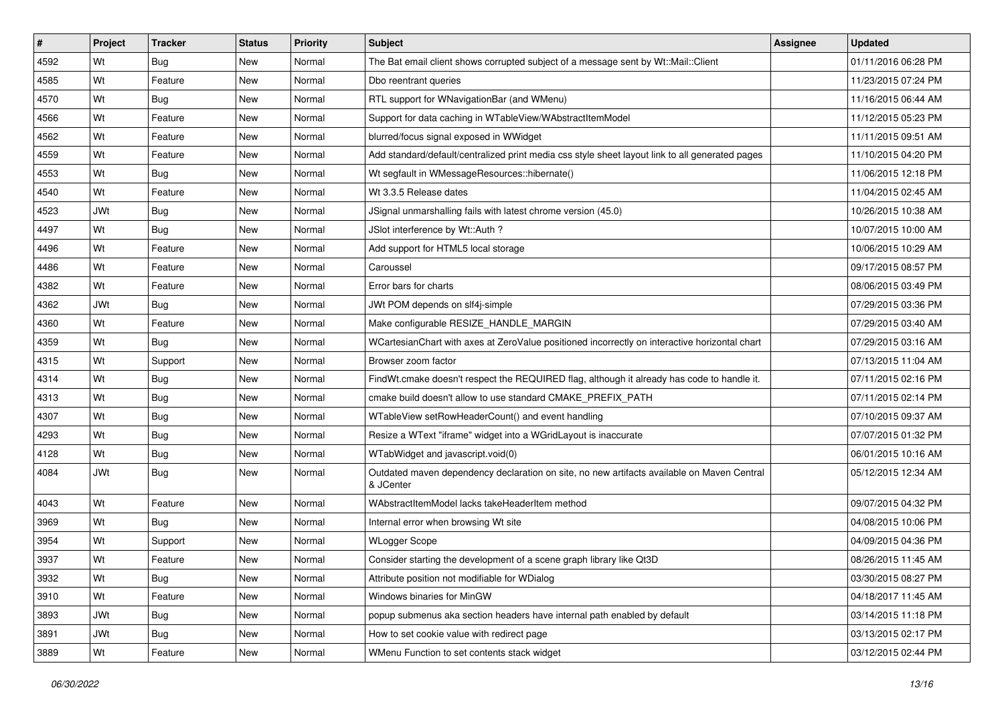| $\vert$ # | Project    | <b>Tracker</b> | <b>Status</b> | <b>Priority</b> | <b>Subject</b>                                                                                          | Assignee | <b>Updated</b>      |
|-----------|------------|----------------|---------------|-----------------|---------------------------------------------------------------------------------------------------------|----------|---------------------|
| 4592      | Wt         | Bug            | <b>New</b>    | Normal          | The Bat email client shows corrupted subject of a message sent by Wt::Mail::Client                      |          | 01/11/2016 06:28 PM |
| 4585      | Wt         | Feature        | New           | Normal          | Dbo reentrant queries                                                                                   |          | 11/23/2015 07:24 PM |
| 4570      | Wt         | Bug            | New           | Normal          | RTL support for WNavigationBar (and WMenu)                                                              |          | 11/16/2015 06:44 AM |
| 4566      | Wt         | Feature        | <b>New</b>    | Normal          | Support for data caching in WTableView/WAbstractItemModel                                               |          | 11/12/2015 05:23 PM |
| 4562      | Wt         | Feature        | New           | Normal          | blurred/focus signal exposed in WWidget                                                                 |          | 11/11/2015 09:51 AM |
| 4559      | Wt         | Feature        | New           | Normal          | Add standard/default/centralized print media css style sheet layout link to all generated pages         |          | 11/10/2015 04:20 PM |
| 4553      | Wt         | <b>Bug</b>     | New           | Normal          | Wt segfault in WMessageResources::hibernate()                                                           |          | 11/06/2015 12:18 PM |
| 4540      | Wt         | Feature        | New           | Normal          | Wt 3.3.5 Release dates                                                                                  |          | 11/04/2015 02:45 AM |
| 4523      | <b>JWt</b> | <b>Bug</b>     | New           | Normal          | JSignal unmarshalling fails with latest chrome version (45.0)                                           |          | 10/26/2015 10:38 AM |
| 4497      | Wt         | <b>Bug</b>     | New           | Normal          | JSlot interference by Wt::Auth ?                                                                        |          | 10/07/2015 10:00 AM |
| 4496      | Wt         | Feature        | New           | Normal          | Add support for HTML5 local storage                                                                     |          | 10/06/2015 10:29 AM |
| 4486      | Wt         | Feature        | New           | Normal          | Caroussel                                                                                               |          | 09/17/2015 08:57 PM |
| 4382      | Wt         | Feature        | New           | Normal          | Error bars for charts                                                                                   |          | 08/06/2015 03:49 PM |
| 4362      | <b>JWt</b> | Bug            | New           | Normal          | JWt POM depends on slf4j-simple                                                                         |          | 07/29/2015 03:36 PM |
| 4360      | Wt         | Feature        | <b>New</b>    | Normal          | Make configurable RESIZE_HANDLE_MARGIN                                                                  |          | 07/29/2015 03:40 AM |
| 4359      | Wt         | Bug            | New           | Normal          | WCartesianChart with axes at ZeroValue positioned incorrectly on interactive horizontal chart           |          | 07/29/2015 03:16 AM |
| 4315      | Wt         | Support        | <b>New</b>    | Normal          | Browser zoom factor                                                                                     |          | 07/13/2015 11:04 AM |
| 4314      | Wt         | <b>Bug</b>     | New           | Normal          | FindWt.cmake doesn't respect the REQUIRED flag, although it already has code to handle it.              |          | 07/11/2015 02:16 PM |
| 4313      | Wt         | <b>Bug</b>     | New           | Normal          | cmake build doesn't allow to use standard CMAKE PREFIX PATH                                             |          | 07/11/2015 02:14 PM |
| 4307      | Wt         | <b>Bug</b>     | New           | Normal          | WTableView setRowHeaderCount() and event handling                                                       |          | 07/10/2015 09:37 AM |
| 4293      | Wt         | <b>Bug</b>     | New           | Normal          | Resize a WText "iframe" widget into a WGridLayout is inaccurate                                         |          | 07/07/2015 01:32 PM |
| 4128      | Wt         | <b>Bug</b>     | New           | Normal          | WTabWidget and javascript.void(0)                                                                       |          | 06/01/2015 10:16 AM |
| 4084      | <b>JWt</b> | <b>Bug</b>     | New           | Normal          | Outdated maven dependency declaration on site, no new artifacts available on Maven Central<br>& JCenter |          | 05/12/2015 12:34 AM |
| 4043      | Wt         | Feature        | New           | Normal          | WAbstractItemModel lacks takeHeaderItem method                                                          |          | 09/07/2015 04:32 PM |
| 3969      | Wt         | <b>Bug</b>     | New           | Normal          | Internal error when browsing Wt site                                                                    |          | 04/08/2015 10:06 PM |
| 3954      | Wt         | Support        | New           | Normal          | <b>WLogger Scope</b>                                                                                    |          | 04/09/2015 04:36 PM |
| 3937      | Wt         | Feature        | New           | Normal          | Consider starting the development of a scene graph library like Qt3D                                    |          | 08/26/2015 11:45 AM |
| 3932      | Wt         | <b>Bug</b>     | New           | Normal          | Attribute position not modifiable for WDialog                                                           |          | 03/30/2015 08:27 PM |
| 3910      | Wt         | Feature        | New           | Normal          | Windows binaries for MinGW                                                                              |          | 04/18/2017 11:45 AM |
| 3893      | <b>JWt</b> | <b>Bug</b>     | New           | Normal          | popup submenus aka section headers have internal path enabled by default                                |          | 03/14/2015 11:18 PM |
| 3891      | JWt        | <b>Bug</b>     | New           | Normal          | How to set cookie value with redirect page                                                              |          | 03/13/2015 02:17 PM |
| 3889      | Wt         | Feature        | New           | Normal          | WMenu Function to set contents stack widget                                                             |          | 03/12/2015 02:44 PM |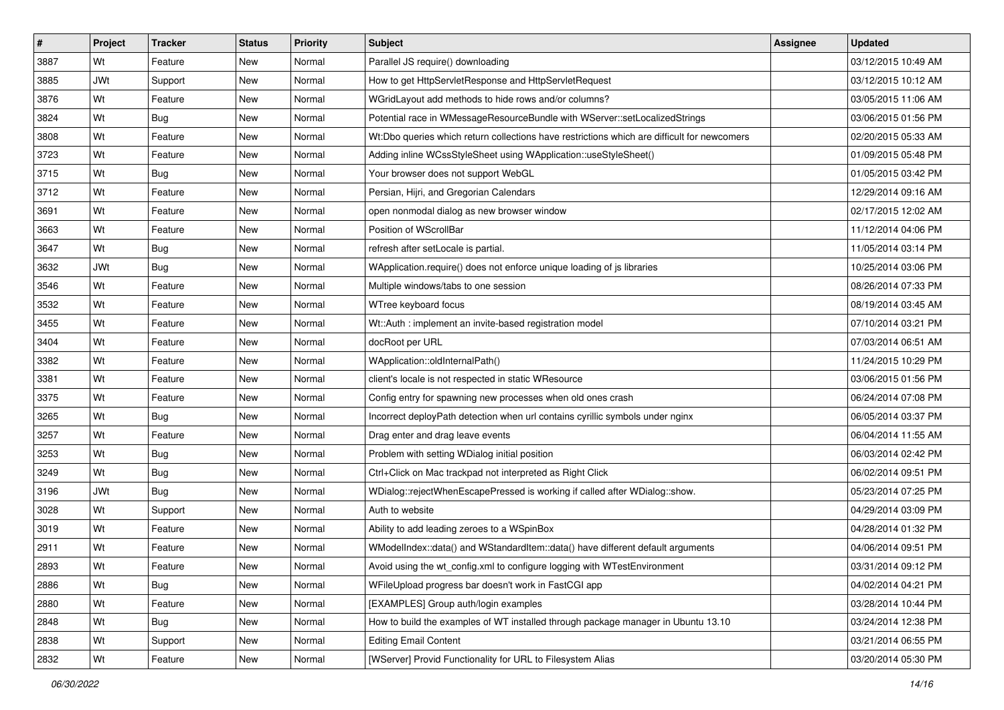| #    | Project    | <b>Tracker</b> | <b>Status</b> | <b>Priority</b> | <b>Subject</b>                                                                              | Assignee | <b>Updated</b>      |
|------|------------|----------------|---------------|-----------------|---------------------------------------------------------------------------------------------|----------|---------------------|
| 3887 | Wt         | Feature        | <b>New</b>    | Normal          | Parallel JS require() downloading                                                           |          | 03/12/2015 10:49 AM |
| 3885 | <b>JWt</b> | Support        | <b>New</b>    | Normal          | How to get HttpServletResponse and HttpServletRequest                                       |          | 03/12/2015 10:12 AM |
| 3876 | Wt         | Feature        | <b>New</b>    | Normal          | WGridLayout add methods to hide rows and/or columns?                                        |          | 03/05/2015 11:06 AM |
| 3824 | Wt         | <b>Bug</b>     | New           | Normal          | Potential race in WMessageResourceBundle with WServer::setLocalizedStrings                  |          | 03/06/2015 01:56 PM |
| 3808 | Wt         | Feature        | <b>New</b>    | Normal          | Wt:Dbo queries which return collections have restrictions which are difficult for newcomers |          | 02/20/2015 05:33 AM |
| 3723 | Wt         | Feature        | <b>New</b>    | Normal          | Adding inline WCssStyleSheet using WApplication::useStyleSheet()                            |          | 01/09/2015 05:48 PM |
| 3715 | Wt         | Bug            | New           | Normal          | Your browser does not support WebGL                                                         |          | 01/05/2015 03:42 PM |
| 3712 | Wt         | Feature        | <b>New</b>    | Normal          | Persian, Hijri, and Gregorian Calendars                                                     |          | 12/29/2014 09:16 AM |
| 3691 | Wt         | Feature        | <b>New</b>    | Normal          | open nonmodal dialog as new browser window                                                  |          | 02/17/2015 12:02 AM |
| 3663 | Wt         | Feature        | <b>New</b>    | Normal          | Position of WScrollBar                                                                      |          | 11/12/2014 04:06 PM |
| 3647 | Wt         | <b>Bug</b>     | <b>New</b>    | Normal          | refresh after setLocale is partial.                                                         |          | 11/05/2014 03:14 PM |
| 3632 | <b>JWt</b> | Bug            | New           | Normal          | WApplication.require() does not enforce unique loading of js libraries                      |          | 10/25/2014 03:06 PM |
| 3546 | Wt         | Feature        | <b>New</b>    | Normal          | Multiple windows/tabs to one session                                                        |          | 08/26/2014 07:33 PM |
| 3532 | Wt         | Feature        | <b>New</b>    | Normal          | WTree keyboard focus                                                                        |          | 08/19/2014 03:45 AM |
| 3455 | Wt         | Feature        | <b>New</b>    | Normal          | Wt::Auth : implement an invite-based registration model                                     |          | 07/10/2014 03:21 PM |
| 3404 | Wt         | Feature        | <b>New</b>    | Normal          | docRoot per URL                                                                             |          | 07/03/2014 06:51 AM |
| 3382 | Wt         | Feature        | <b>New</b>    | Normal          | WApplication::oldInternalPath()                                                             |          | 11/24/2015 10:29 PM |
| 3381 | Wt         | Feature        | <b>New</b>    | Normal          | client's locale is not respected in static WResource                                        |          | 03/06/2015 01:56 PM |
| 3375 | Wt         | Feature        | New           | Normal          | Config entry for spawning new processes when old ones crash                                 |          | 06/24/2014 07:08 PM |
| 3265 | Wt         | Bug            | New           | Normal          | Incorrect deployPath detection when url contains cyrillic symbols under nginx               |          | 06/05/2014 03:37 PM |
| 3257 | Wt         | Feature        | <b>New</b>    | Normal          | Drag enter and drag leave events                                                            |          | 06/04/2014 11:55 AM |
| 3253 | Wt         | <b>Bug</b>     | <b>New</b>    | Normal          | Problem with setting WDialog initial position                                               |          | 06/03/2014 02:42 PM |
| 3249 | Wt         | Bug            | <b>New</b>    | Normal          | Ctrl+Click on Mac trackpad not interpreted as Right Click                                   |          | 06/02/2014 09:51 PM |
| 3196 | <b>JWt</b> | <b>Bug</b>     | <b>New</b>    | Normal          | WDialog::rejectWhenEscapePressed is working if called after WDialog::show.                  |          | 05/23/2014 07:25 PM |
| 3028 | Wt         | Support        | New           | Normal          | Auth to website                                                                             |          | 04/29/2014 03:09 PM |
| 3019 | Wt         | Feature        | <b>New</b>    | Normal          | Ability to add leading zeroes to a WSpinBox                                                 |          | 04/28/2014 01:32 PM |
| 2911 | Wt         | Feature        | New           | Normal          | WModelIndex::data() and WStandardItem::data() have different default arguments              |          | 04/06/2014 09:51 PM |
| 2893 | Wt         | Feature        | New           | Normal          | Avoid using the wt_config.xml to configure logging with WTestEnvironment                    |          | 03/31/2014 09:12 PM |
| 2886 | Wt         | <b>Bug</b>     | New           | Normal          | WFileUpload progress bar doesn't work in FastCGI app                                        |          | 04/02/2014 04:21 PM |
| 2880 | Wt         | Feature        | New           | Normal          | [EXAMPLES] Group auth/login examples                                                        |          | 03/28/2014 10:44 PM |
| 2848 | Wt         | Bug            | New           | Normal          | How to build the examples of WT installed through package manager in Ubuntu 13.10           |          | 03/24/2014 12:38 PM |
| 2838 | Wt         | Support        | New           | Normal          | <b>Editing Email Content</b>                                                                |          | 03/21/2014 06:55 PM |
| 2832 | Wt         | Feature        | New           | Normal          | [WServer] Provid Functionality for URL to Filesystem Alias                                  |          | 03/20/2014 05:30 PM |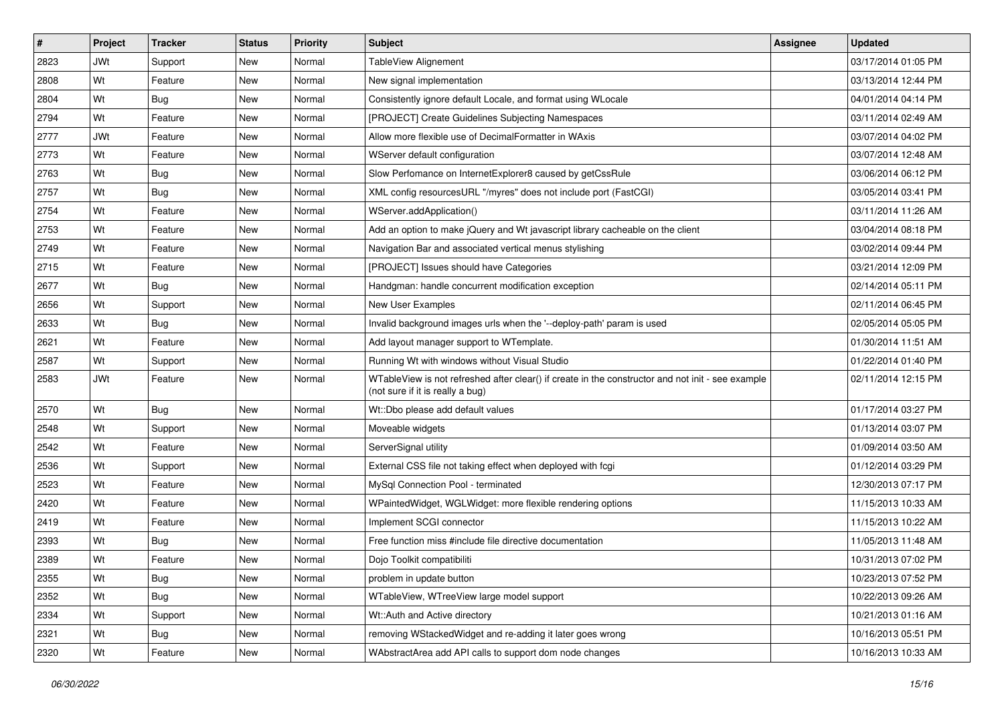| $\pmb{\#}$ | Project    | <b>Tracker</b> | <b>Status</b> | <b>Priority</b> | <b>Subject</b>                                                                                                                        | Assignee | <b>Updated</b>      |
|------------|------------|----------------|---------------|-----------------|---------------------------------------------------------------------------------------------------------------------------------------|----------|---------------------|
| 2823       | <b>JWt</b> | Support        | New           | Normal          | TableView Alignement                                                                                                                  |          | 03/17/2014 01:05 PM |
| 2808       | Wt         | Feature        | New           | Normal          | New signal implementation                                                                                                             |          | 03/13/2014 12:44 PM |
| 2804       | Wt         | Bug            | New           | Normal          | Consistently ignore default Locale, and format using WLocale                                                                          |          | 04/01/2014 04:14 PM |
| 2794       | Wt         | Feature        | New           | Normal          | [PROJECT] Create Guidelines Subjecting Namespaces                                                                                     |          | 03/11/2014 02:49 AM |
| 2777       | <b>JWt</b> | Feature        | New           | Normal          | Allow more flexible use of DecimalFormatter in WAxis                                                                                  |          | 03/07/2014 04:02 PM |
| 2773       | Wt         | Feature        | New           | Normal          | WServer default configuration                                                                                                         |          | 03/07/2014 12:48 AM |
| 2763       | Wt         | <b>Bug</b>     | New           | Normal          | Slow Perfomance on InternetExplorer8 caused by getCssRule                                                                             |          | 03/06/2014 06:12 PM |
| 2757       | Wt         | Bug            | New           | Normal          | XML config resourcesURL "/myres" does not include port (FastCGI)                                                                      |          | 03/05/2014 03:41 PM |
| 2754       | Wt         | Feature        | New           | Normal          | WServer.addApplication()                                                                                                              |          | 03/11/2014 11:26 AM |
| 2753       | Wt         | Feature        | New           | Normal          | Add an option to make jQuery and Wt javascript library cacheable on the client                                                        |          | 03/04/2014 08:18 PM |
| 2749       | Wt         | Feature        | New           | Normal          | Navigation Bar and associated vertical menus stylishing                                                                               |          | 03/02/2014 09:44 PM |
| 2715       | Wt         | Feature        | New           | Normal          | [PROJECT] Issues should have Categories                                                                                               |          | 03/21/2014 12:09 PM |
| 2677       | Wt         | Bug            | New           | Normal          | Handgman: handle concurrent modification exception                                                                                    |          | 02/14/2014 05:11 PM |
| 2656       | Wt         | Support        | New           | Normal          | New User Examples                                                                                                                     |          | 02/11/2014 06:45 PM |
| 2633       | Wt         | <b>Bug</b>     | New           | Normal          | Invalid background images urls when the '--deploy-path' param is used                                                                 |          | 02/05/2014 05:05 PM |
| 2621       | Wt         | Feature        | New           | Normal          | Add layout manager support to WTemplate.                                                                                              |          | 01/30/2014 11:51 AM |
| 2587       | Wt         | Support        | New           | Normal          | Running Wt with windows without Visual Studio                                                                                         |          | 01/22/2014 01:40 PM |
| 2583       | <b>JWt</b> | Feature        | New           | Normal          | WTableView is not refreshed after clear() if create in the constructor and not init - see example<br>(not sure if it is really a bug) |          | 02/11/2014 12:15 PM |
| 2570       | Wt         | Bug            | New           | Normal          | Wt::Dbo please add default values                                                                                                     |          | 01/17/2014 03:27 PM |
| 2548       | Wt         | Support        | New           | Normal          | Moveable widgets                                                                                                                      |          | 01/13/2014 03:07 PM |
| 2542       | Wt         | Feature        | <b>New</b>    | Normal          | ServerSignal utility                                                                                                                  |          | 01/09/2014 03:50 AM |
| 2536       | Wt         | Support        | New           | Normal          | External CSS file not taking effect when deployed with fcgi                                                                           |          | 01/12/2014 03:29 PM |
| 2523       | Wt         | Feature        | New           | Normal          | MySql Connection Pool - terminated                                                                                                    |          | 12/30/2013 07:17 PM |
| 2420       | Wt         | Feature        | New           | Normal          | WPaintedWidget, WGLWidget: more flexible rendering options                                                                            |          | 11/15/2013 10:33 AM |
| 2419       | Wt         | Feature        | New           | Normal          | Implement SCGI connector                                                                                                              |          | 11/15/2013 10:22 AM |
| 2393       | Wt         | <b>Bug</b>     | New           | Normal          | Free function miss #include file directive documentation                                                                              |          | 11/05/2013 11:48 AM |
| 2389       | Wt         | Feature        | New           | Normal          | Dojo Toolkit compatibiliti                                                                                                            |          | 10/31/2013 07:02 PM |
| 2355       | Wt         | <b>Bug</b>     | New           | Normal          | problem in update button                                                                                                              |          | 10/23/2013 07:52 PM |
| 2352       | Wt         | <b>Bug</b>     | New           | Normal          | WTableView, WTreeView large model support                                                                                             |          | 10/22/2013 09:26 AM |
| 2334       | Wt         | Support        | New           | Normal          | Wt::Auth and Active directory                                                                                                         |          | 10/21/2013 01:16 AM |
| 2321       | Wt         | <b>Bug</b>     | New           | Normal          | removing WStackedWidget and re-adding it later goes wrong                                                                             |          | 10/16/2013 05:51 PM |
| 2320       | Wt         | Feature        | New           | Normal          | WAbstractArea add API calls to support dom node changes                                                                               |          | 10/16/2013 10:33 AM |